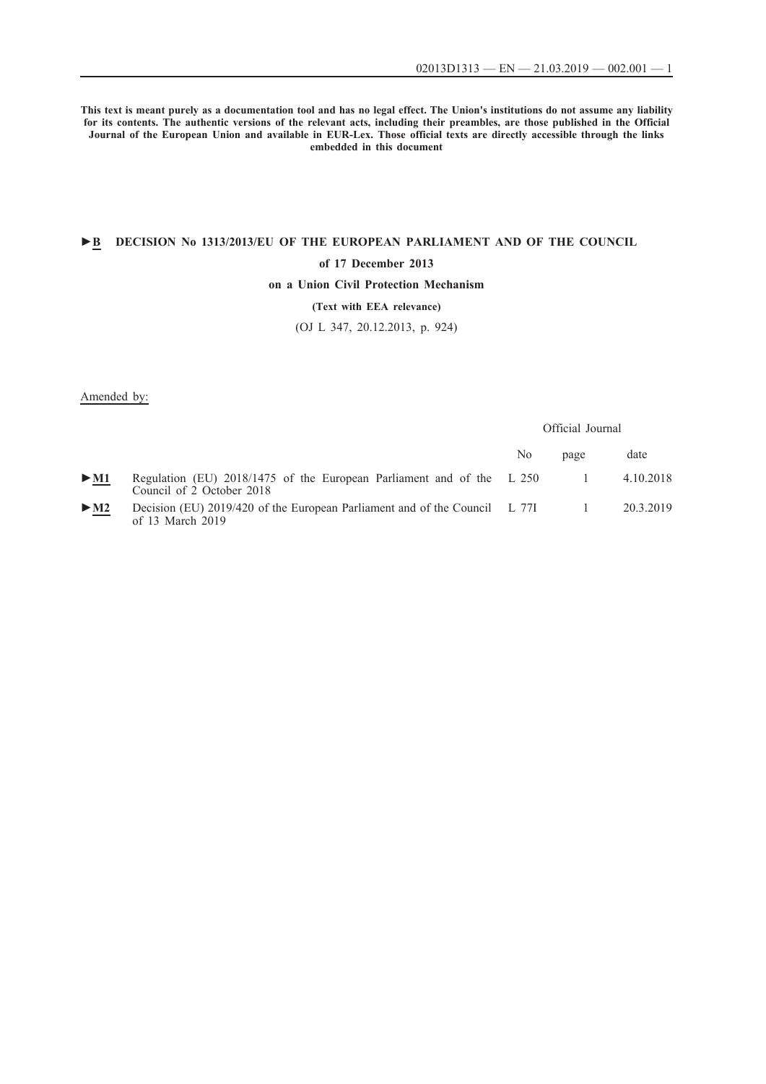**This text is meant purely as a documentation tool and has no legal effect. The Union's institutions do not assume any liability for its contents. The authentic versions of the relevant acts, including their preambles, are those published in the Official Journal of the European Union and available in EUR-Lex. Those official texts are directly accessible through the links embedded in this document**

# **►B [DECISION No 1313/2013/EU OF THE EUROPEAN PARLIAMENT AND OF THE COUNCIL](http://data.europa.eu/eli/dec/2013/1313/oj/eng)**

#### **[of 17 December 2013](http://data.europa.eu/eli/dec/2013/1313/oj/eng)**

### **[on a Union Civil Protection Mechanism](http://data.europa.eu/eli/dec/2013/1313/oj/eng)**

## **[\(Text with EEA relevance\)](http://data.europa.eu/eli/dec/2013/1313/oj/eng)**

[\(OJ L 347, 20.12.2013, p. 924\)](http://data.europa.eu/eli/dec/2013/1313/oj/eng)

Amended by:

|                            |                                                                                                    | Official Journal |      |           |
|----------------------------|----------------------------------------------------------------------------------------------------|------------------|------|-----------|
|                            |                                                                                                    | No               | page | date      |
| $>$ M1                     | Regulation (EU) 2018/1475 of the European Parliament and of the L 250<br>Council of 2 October 2018 |                  |      | 4.10.2018 |
| $\triangleright$ <u>M2</u> | Decision (EU) $2019/420$ of the European Parliament and of the Council L 77I<br>of 13 March $2019$ |                  |      | 20.3.2019 |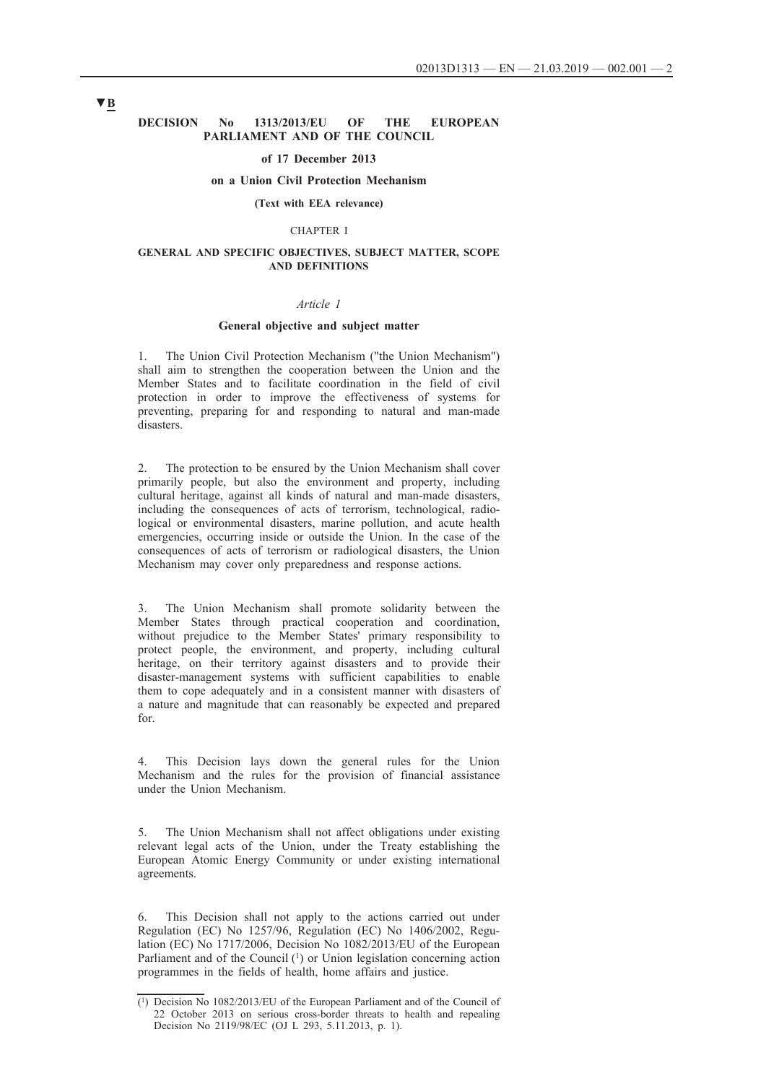### **DECISION No 1313/2013/EU OF THE EUROPEAN PARLIAMENT AND OF THE COUNCIL**

#### **of 17 December 2013**

#### **on a Union Civil Protection Mechanism**

#### **(Text with EEA relevance)**

#### CHAPTER I

#### **GENERAL AND SPECIFIC OBJECTIVES, SUBJECT MATTER, SCOPE AND DEFINITIONS**

### *Article 1*

#### **General objective and subject matter**

1. The Union Civil Protection Mechanism ("the Union Mechanism") shall aim to strengthen the cooperation between the Union and the Member States and to facilitate coordination in the field of civil protection in order to improve the effectiveness of systems for preventing, preparing for and responding to natural and man-made disasters.

2. The protection to be ensured by the Union Mechanism shall cover primarily people, but also the environment and property, including cultural heritage, against all kinds of natural and man-made disasters, including the consequences of acts of terrorism, technological, radiological or environmental disasters, marine pollution, and acute health emergencies, occurring inside or outside the Union. In the case of the consequences of acts of terrorism or radiological disasters, the Union Mechanism may cover only preparedness and response actions.

3. The Union Mechanism shall promote solidarity between the Member States through practical cooperation and coordination, without prejudice to the Member States' primary responsibility to protect people, the environment, and property, including cultural heritage, on their territory against disasters and to provide their disaster-management systems with sufficient capabilities to enable them to cope adequately and in a consistent manner with disasters of a nature and magnitude that can reasonably be expected and prepared for.

4. This Decision lays down the general rules for the Union Mechanism and the rules for the provision of financial assistance under the Union Mechanism.

5. The Union Mechanism shall not affect obligations under existing relevant legal acts of the Union, under the Treaty establishing the European Atomic Energy Community or under existing international agreements.

6. This Decision shall not apply to the actions carried out under Regulation (EC) No 1257/96, Regulation (EC) No 1406/2002, Regulation (EC) No 1717/2006, Decision No 1082/2013/EU of the European Parliament and of the Council  $(1)$  or Union legislation concerning action programmes in the fields of health, home affairs and justice.

<sup>(1)</sup> Decision No 1082/2013/EU of the European Parliament and of the Council of 22 October 2013 on serious cross-border threats to health and repealing Decision No 2119/98/EC (OJ L 293, 5.11.2013, p. 1).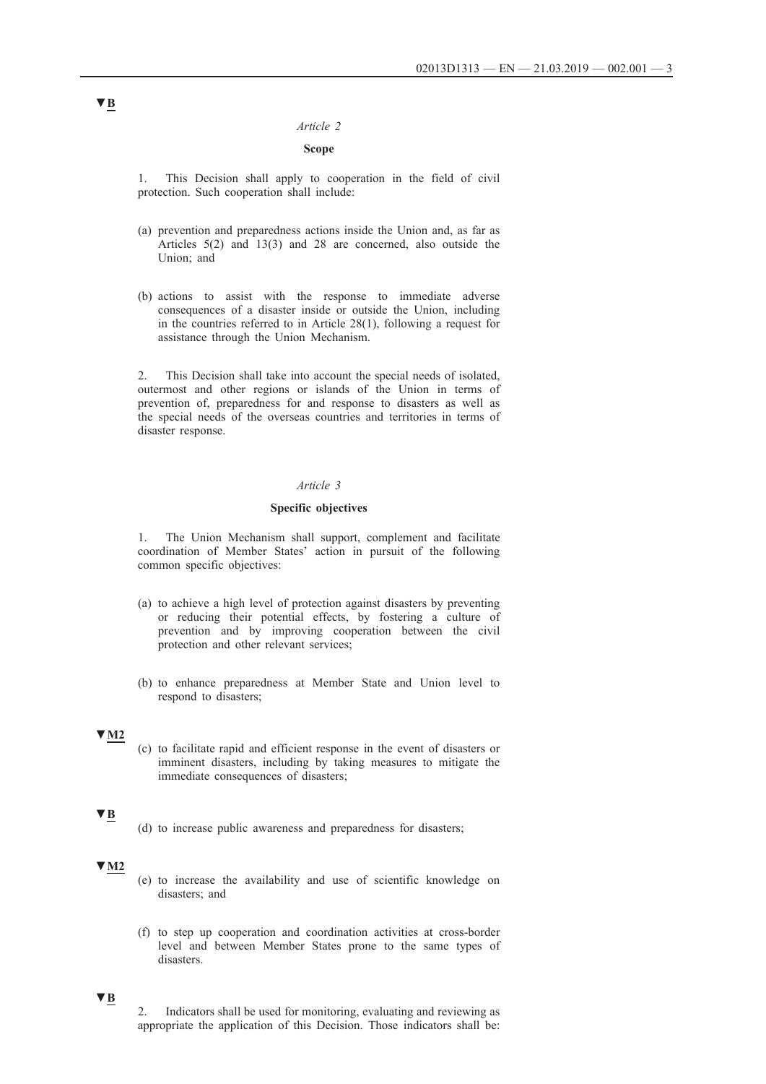#### *Article 2*

### **Scope**

1. This Decision shall apply to cooperation in the field of civil protection. Such cooperation shall include:

- (a) prevention and preparedness actions inside the Union and, as far as Articles 5(2) and 13(3) and 28 are concerned, also outside the Union; and
- (b) actions to assist with the response to immediate adverse consequences of a disaster inside or outside the Union, including in the countries referred to in Article 28(1), following a request for assistance through the Union Mechanism.

2. This Decision shall take into account the special needs of isolated, outermost and other regions or islands of the Union in terms of prevention of, preparedness for and response to disasters as well as the special needs of the overseas countries and territories in terms of disaster response.

### *Article 3*

#### **Specific objectives**

1. The Union Mechanism shall support, complement and facilitate coordination of Member States' action in pursuit of the following common specific objectives:

- (a) to achieve a high level of protection against disasters by preventing or reducing their potential effects, by fostering a culture of prevention and by improving cooperation between the civil protection and other relevant services;
- (b) to enhance preparedness at Member State and Union level to respond to disasters;

#### **▼M2**

(c) to facilitate rapid and efficient response in the event of disasters or imminent disasters, including by taking measures to mitigate the immediate consequences of disasters;

### **▼B**

(d) to increase public awareness and preparedness for disasters;

### **▼M2**

- (e) to increase the availability and use of scientific knowledge on disasters; and
- (f) to step up cooperation and coordination activities at cross-border level and between Member States prone to the same types of disasters.

### **▼B**

2. Indicators shall be used for monitoring, evaluating and reviewing as appropriate the application of this Decision. Those indicators shall be: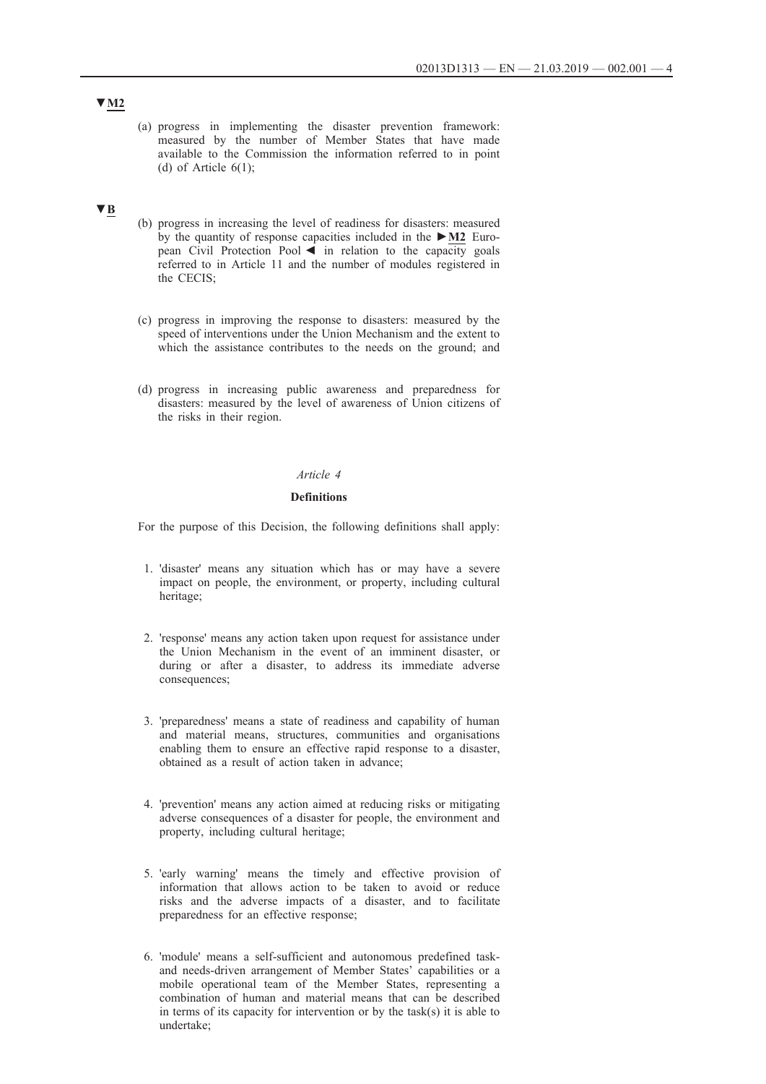(a) progress in implementing the disaster prevention framework: measured by the number of Member States that have made available to the Commission the information referred to in point (d) of Article  $6(1)$ ;

### **▼B**

- (b) progress in increasing the level of readiness for disasters: measured by the quantity of response capacities included in the **►M2** European Civil Protection Pool ◄ in relation to the capacity goals referred to in Article 11 and the number of modules registered in the CECIS;
- (c) progress in improving the response to disasters: measured by the speed of interventions under the Union Mechanism and the extent to which the assistance contributes to the needs on the ground; and
- (d) progress in increasing public awareness and preparedness for disasters: measured by the level of awareness of Union citizens of the risks in their region.

#### *Article 4*

#### **Definitions**

For the purpose of this Decision, the following definitions shall apply:

- 1. 'disaster' means any situation which has or may have a severe impact on people, the environment, or property, including cultural heritage;
- 2. 'response' means any action taken upon request for assistance under the Union Mechanism in the event of an imminent disaster, or during or after a disaster, to address its immediate adverse consequences;
- 3. 'preparedness' means a state of readiness and capability of human and material means, structures, communities and organisations enabling them to ensure an effective rapid response to a disaster, obtained as a result of action taken in advance;
- 4. 'prevention' means any action aimed at reducing risks or mitigating adverse consequences of a disaster for people, the environment and property, including cultural heritage;
- 5. 'early warning' means the timely and effective provision of information that allows action to be taken to avoid or reduce risks and the adverse impacts of a disaster, and to facilitate preparedness for an effective response;
- 6. 'module' means a self-sufficient and autonomous predefined taskand needs-driven arrangement of Member States' capabilities or a mobile operational team of the Member States, representing a combination of human and material means that can be described in terms of its capacity for intervention or by the task(s) it is able to undertake;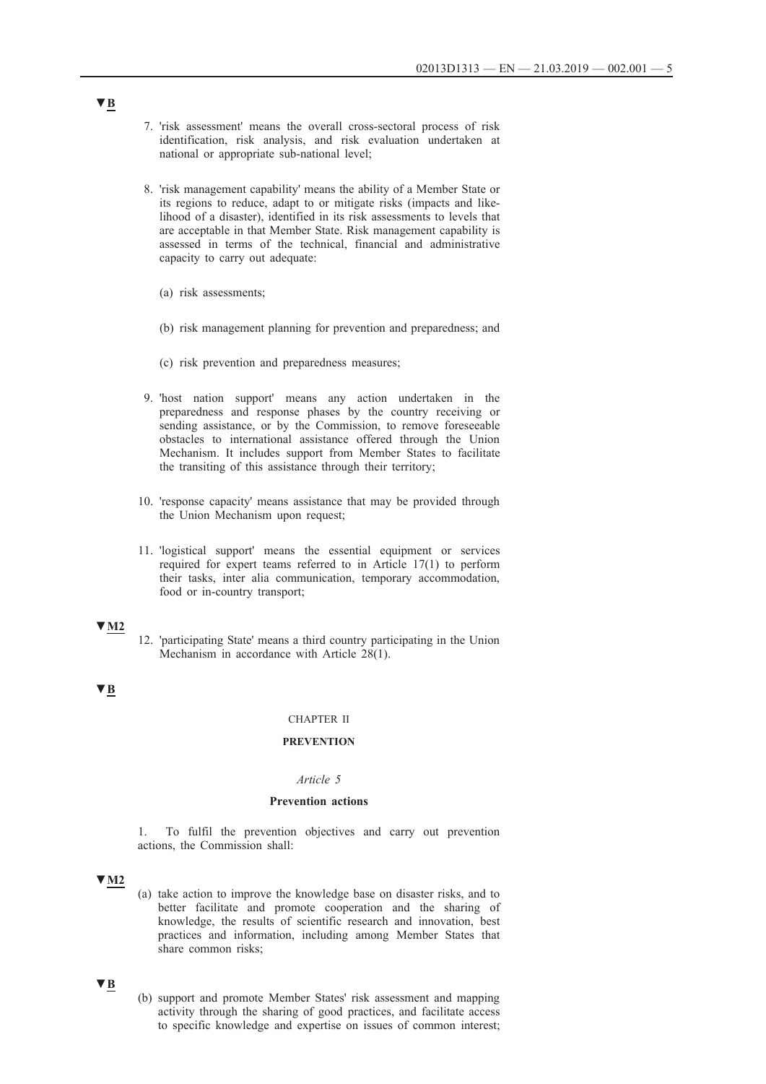- 7. 'risk assessment' means the overall cross-sectoral process of risk identification, risk analysis, and risk evaluation undertaken at national or appropriate sub-national level;
- 8. 'risk management capability' means the ability of a Member State or its regions to reduce, adapt to or mitigate risks (impacts and likelihood of a disaster), identified in its risk assessments to levels that are acceptable in that Member State. Risk management capability is assessed in terms of the technical, financial and administrative capacity to carry out adequate:
	- (a) risk assessments;
	- (b) risk management planning for prevention and preparedness; and
	- (c) risk prevention and preparedness measures;
- 9. 'host nation support' means any action undertaken in the preparedness and response phases by the country receiving or sending assistance, or by the Commission, to remove foreseeable obstacles to international assistance offered through the Union Mechanism. It includes support from Member States to facilitate the transiting of this assistance through their territory;
- 10. 'response capacity' means assistance that may be provided through the Union Mechanism upon request;
- 11. 'logistical support' means the essential equipment or services required for expert teams referred to in Article 17(1) to perform their tasks, inter alia communication, temporary accommodation, food or in-country transport;

### **▼M2**

12. 'participating State' means a third country participating in the Union Mechanism in accordance with Article 28(1).

### **▼B**

#### CHAPTER II

### **PREVENTION**

#### *Article 5*

#### **Prevention actions**

1. To fulfil the prevention objectives and carry out prevention actions, the Commission shall:

### **▼M2**

(a) take action to improve the knowledge base on disaster risks, and to better facilitate and promote cooperation and the sharing of knowledge, the results of scientific research and innovation, best practices and information, including among Member States that share common risks;

### **▼B**

(b) support and promote Member States' risk assessment and mapping activity through the sharing of good practices, and facilitate access to specific knowledge and expertise on issues of common interest;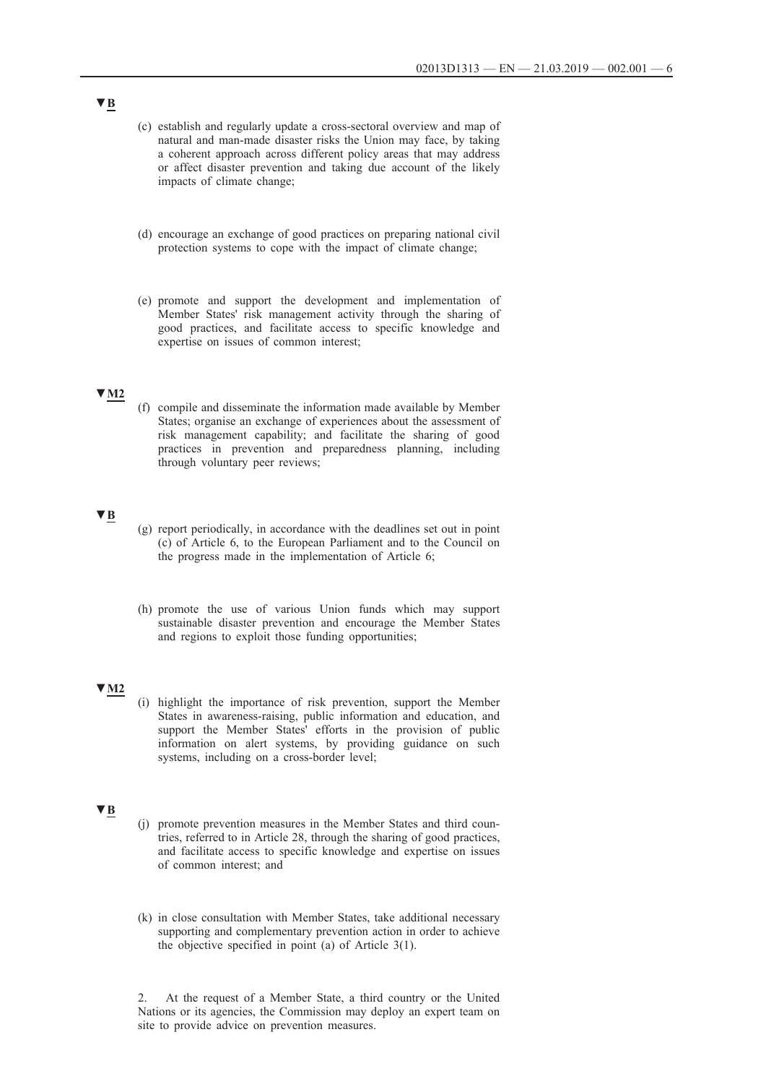- (c) establish and regularly update a cross-sectoral overview and map of natural and man-made disaster risks the Union may face, by taking a coherent approach across different policy areas that may address or affect disaster prevention and taking due account of the likely impacts of climate change;
- (d) encourage an exchange of good practices on preparing national civil protection systems to cope with the impact of climate change;
- (e) promote and support the development and implementation of Member States' risk management activity through the sharing of good practices, and facilitate access to specific knowledge and expertise on issues of common interest;

### **▼M2**

(f) compile and disseminate the information made available by Member States; organise an exchange of experiences about the assessment of risk management capability; and facilitate the sharing of good practices in prevention and preparedness planning, including through voluntary peer reviews;

# **▼B**

- (g) report periodically, in accordance with the deadlines set out in point (c) of Article 6, to the European Parliament and to the Council on the progress made in the implementation of Article 6;
- (h) promote the use of various Union funds which may support sustainable disaster prevention and encourage the Member States and regions to exploit those funding opportunities;

### **▼M2**

(i) highlight the importance of risk prevention, support the Member States in awareness-raising, public information and education, and support the Member States' efforts in the provision of public information on alert systems, by providing guidance on such systems, including on a cross-border level;

#### **▼B**

- (j) promote prevention measures in the Member States and third countries, referred to in Article 28, through the sharing of good practices, and facilitate access to specific knowledge and expertise on issues of common interest; and
- (k) in close consultation with Member States, take additional necessary supporting and complementary prevention action in order to achieve the objective specified in point (a) of Article 3(1).

2. At the request of a Member State, a third country or the United Nations or its agencies, the Commission may deploy an expert team on site to provide advice on prevention measures.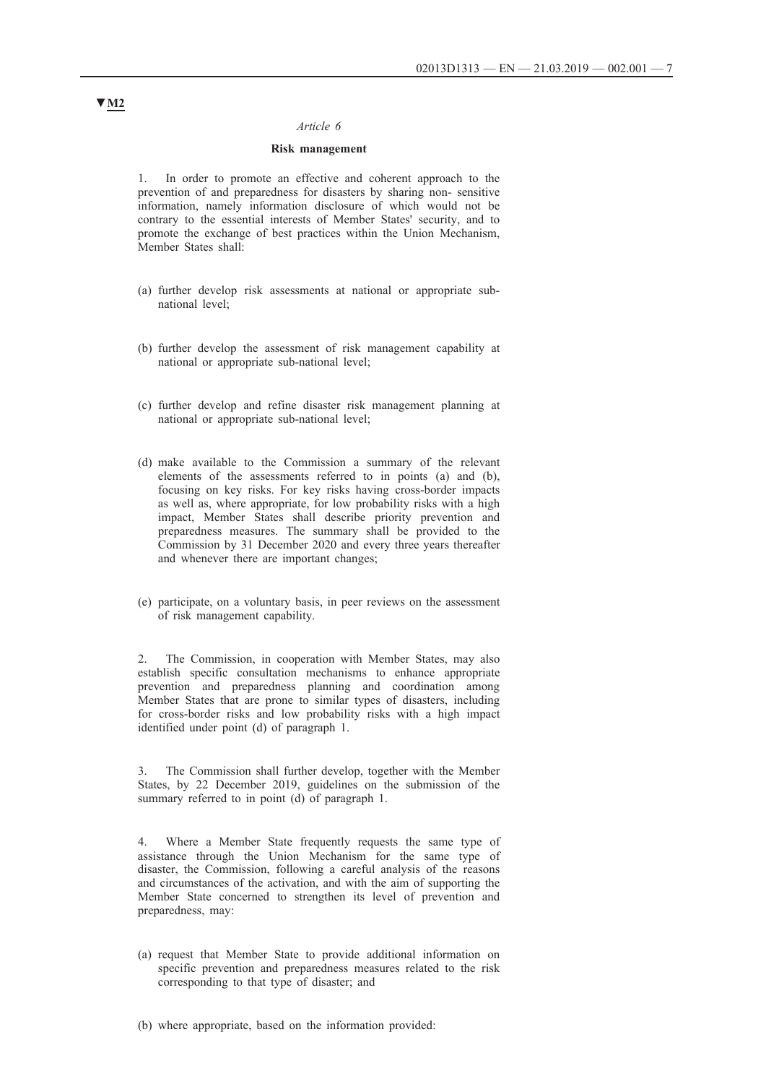#### *Article 6*

#### **Risk management**

In order to promote an effective and coherent approach to the prevention of and preparedness for disasters by sharing non- sensitive information, namely information disclosure of which would not be contrary to the essential interests of Member States' security, and to promote the exchange of best practices within the Union Mechanism, Member States shall:

- (a) further develop risk assessments at national or appropriate subnational level;
- (b) further develop the assessment of risk management capability at national or appropriate sub-national level;
- (c) further develop and refine disaster risk management planning at national or appropriate sub-national level;
- (d) make available to the Commission a summary of the relevant elements of the assessments referred to in points (a) and (b), focusing on key risks. For key risks having cross-border impacts as well as, where appropriate, for low probability risks with a high impact, Member States shall describe priority prevention and preparedness measures. The summary shall be provided to the Commission by 31 December 2020 and every three years thereafter and whenever there are important changes;
- (e) participate, on a voluntary basis, in peer reviews on the assessment of risk management capability.

2. The Commission, in cooperation with Member States, may also establish specific consultation mechanisms to enhance appropriate prevention and preparedness planning and coordination among Member States that are prone to similar types of disasters, including for cross-border risks and low probability risks with a high impact identified under point (d) of paragraph 1.

The Commission shall further develop, together with the Member States, by 22 December 2019, guidelines on the submission of the summary referred to in point (d) of paragraph 1.

4. Where a Member State frequently requests the same type of assistance through the Union Mechanism for the same type of disaster, the Commission, following a careful analysis of the reasons and circumstances of the activation, and with the aim of supporting the Member State concerned to strengthen its level of prevention and preparedness, may:

(a) request that Member State to provide additional information on specific prevention and preparedness measures related to the risk corresponding to that type of disaster; and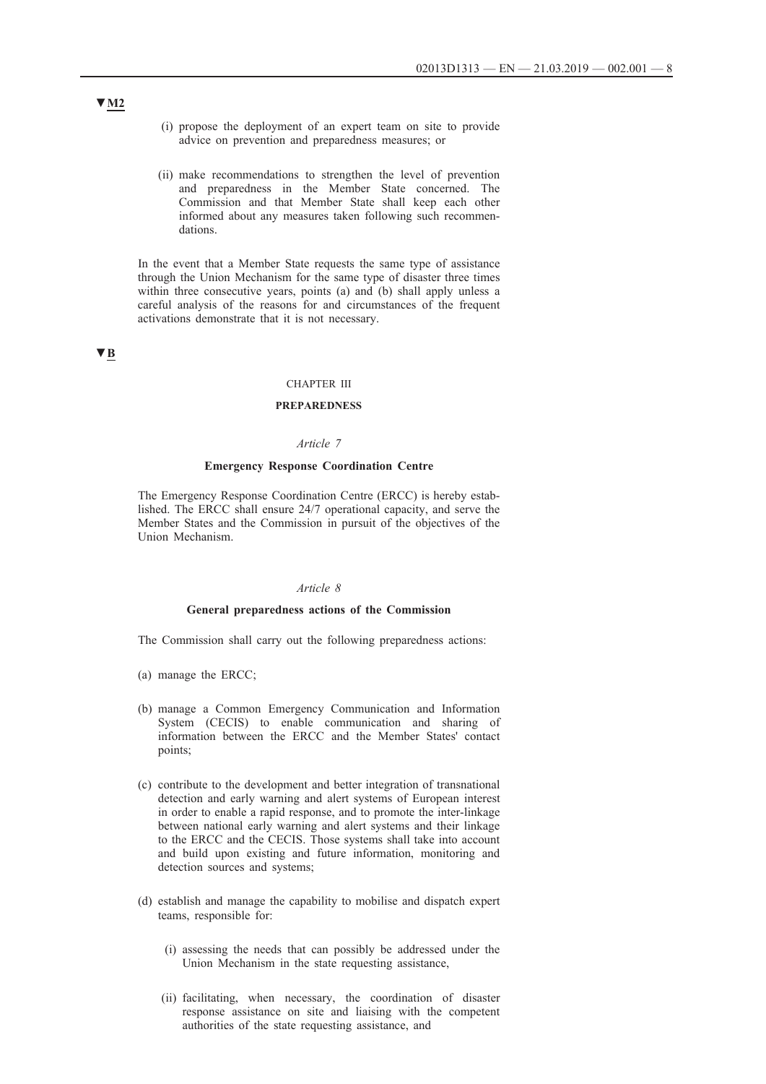- (i) propose the deployment of an expert team on site to provide advice on prevention and preparedness measures; or
- (ii) make recommendations to strengthen the level of prevention and preparedness in the Member State concerned. The Commission and that Member State shall keep each other informed about any measures taken following such recommendations.

In the event that a Member State requests the same type of assistance through the Union Mechanism for the same type of disaster three times within three consecutive years, points (a) and (b) shall apply unless a careful analysis of the reasons for and circumstances of the frequent activations demonstrate that it is not necessary.

#### **▼B**

#### CHAPTER III

### **PREPAREDNESS**

#### *Article 7*

#### **Emergency Response Coordination Centre**

The Emergency Response Coordination Centre (ERCC) is hereby established. The ERCC shall ensure 24/7 operational capacity, and serve the Member States and the Commission in pursuit of the objectives of the Union Mechanism.

#### *Article 8*

#### **General preparedness actions of the Commission**

The Commission shall carry out the following preparedness actions:

- (a) manage the ERCC;
- (b) manage a Common Emergency Communication and Information System (CECIS) to enable communication and sharing of information between the ERCC and the Member States' contact points;
- (c) contribute to the development and better integration of transnational detection and early warning and alert systems of European interest in order to enable a rapid response, and to promote the inter-linkage between national early warning and alert systems and their linkage to the ERCC and the CECIS. Those systems shall take into account and build upon existing and future information, monitoring and detection sources and systems;
- (d) establish and manage the capability to mobilise and dispatch expert teams, responsible for:
	- (i) assessing the needs that can possibly be addressed under the Union Mechanism in the state requesting assistance,
	- (ii) facilitating, when necessary, the coordination of disaster response assistance on site and liaising with the competent authorities of the state requesting assistance, and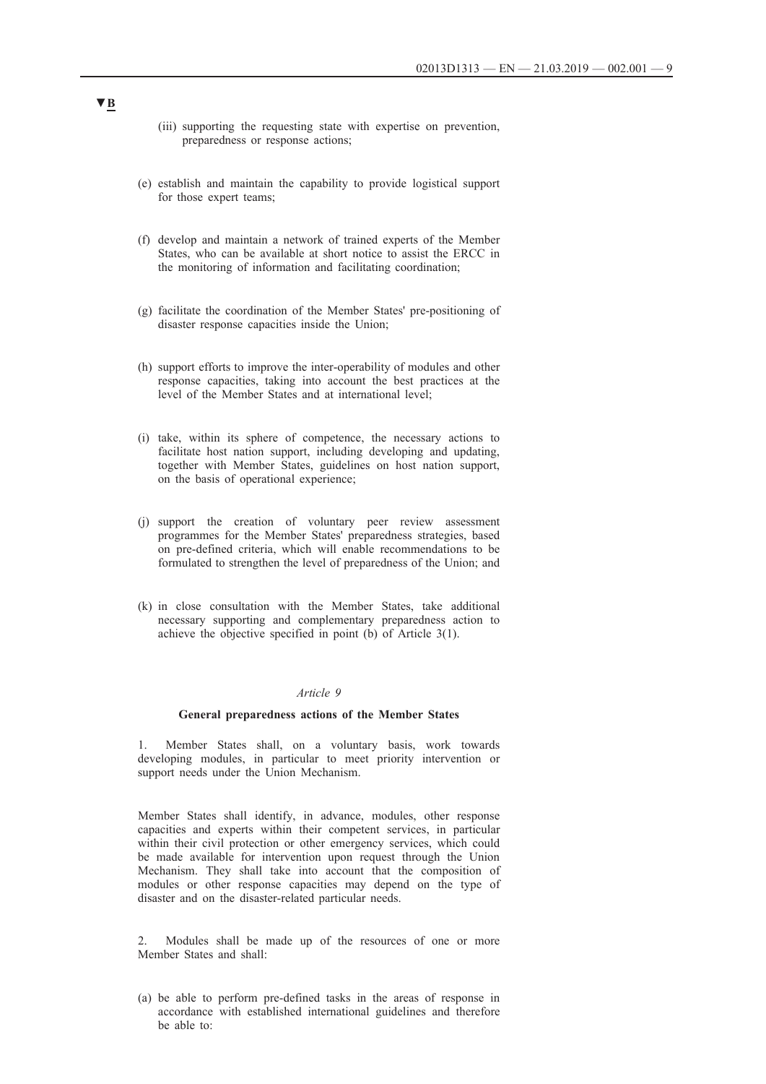- (iii) supporting the requesting state with expertise on prevention, preparedness or response actions;
- (e) establish and maintain the capability to provide logistical support for those expert teams;
- (f) develop and maintain a network of trained experts of the Member States, who can be available at short notice to assist the ERCC in the monitoring of information and facilitating coordination;
- (g) facilitate the coordination of the Member States' pre-positioning of disaster response capacities inside the Union;
- (h) support efforts to improve the inter-operability of modules and other response capacities, taking into account the best practices at the level of the Member States and at international level;
- (i) take, within its sphere of competence, the necessary actions to facilitate host nation support, including developing and updating, together with Member States, guidelines on host nation support, on the basis of operational experience;
- (j) support the creation of voluntary peer review assessment programmes for the Member States' preparedness strategies, based on pre-defined criteria, which will enable recommendations to be formulated to strengthen the level of preparedness of the Union; and
- (k) in close consultation with the Member States, take additional necessary supporting and complementary preparedness action to achieve the objective specified in point (b) of Article 3(1).

#### *Article 9*

#### **General preparedness actions of the Member States**

1. Member States shall, on a voluntary basis, work towards developing modules, in particular to meet priority intervention or support needs under the Union Mechanism.

Member States shall identify, in advance, modules, other response capacities and experts within their competent services, in particular within their civil protection or other emergency services, which could be made available for intervention upon request through the Union Mechanism. They shall take into account that the composition of modules or other response capacities may depend on the type of disaster and on the disaster-related particular needs.

2. Modules shall be made up of the resources of one or more Member States and shall:

(a) be able to perform pre-defined tasks in the areas of response in accordance with established international guidelines and therefore be able to: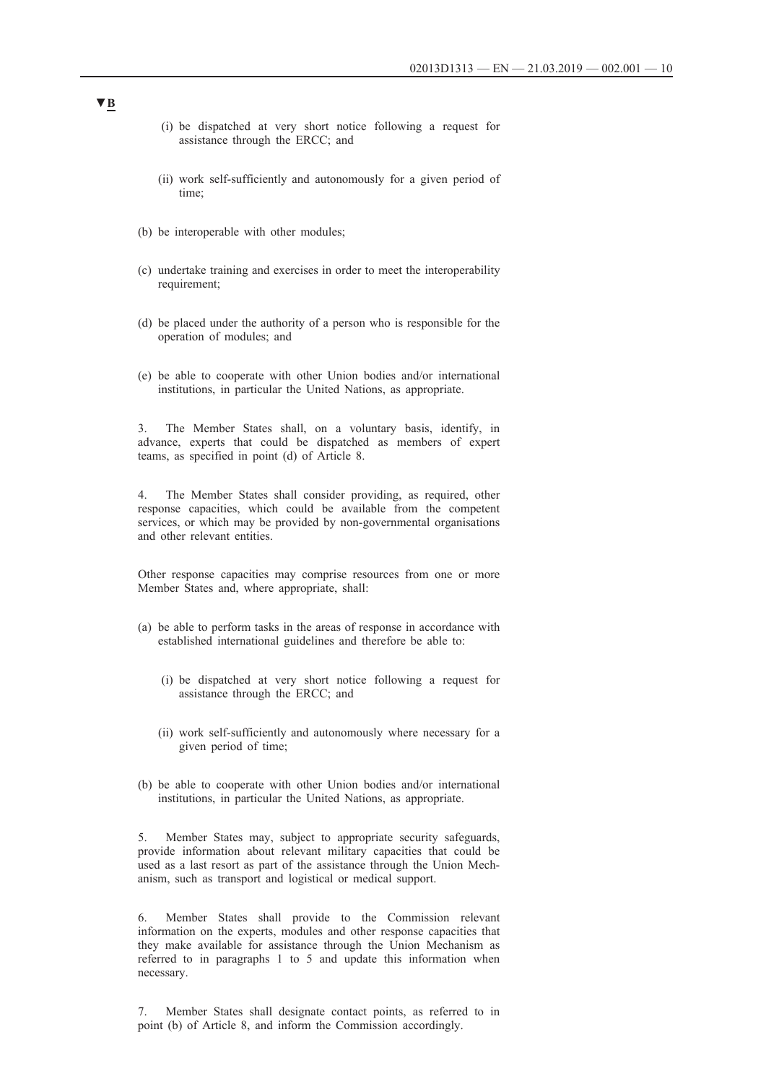- (i) be dispatched at very short notice following a request for assistance through the ERCC; and
- (ii) work self-sufficiently and autonomously for a given period of time;
- (b) be interoperable with other modules;
- (c) undertake training and exercises in order to meet the interoperability requirement;
- (d) be placed under the authority of a person who is responsible for the operation of modules; and
- (e) be able to cooperate with other Union bodies and/or international institutions, in particular the United Nations, as appropriate.

3. The Member States shall, on a voluntary basis, identify, in advance, experts that could be dispatched as members of expert teams, as specified in point (d) of Article 8.

4. The Member States shall consider providing, as required, other response capacities, which could be available from the competent services, or which may be provided by non-governmental organisations and other relevant entities.

Other response capacities may comprise resources from one or more Member States and, where appropriate, shall:

- (a) be able to perform tasks in the areas of response in accordance with established international guidelines and therefore be able to:
	- (i) be dispatched at very short notice following a request for assistance through the ERCC; and
	- (ii) work self-sufficiently and autonomously where necessary for a given period of time;
- (b) be able to cooperate with other Union bodies and/or international institutions, in particular the United Nations, as appropriate.

5. Member States may, subject to appropriate security safeguards, provide information about relevant military capacities that could be used as a last resort as part of the assistance through the Union Mechanism, such as transport and logistical or medical support.

6. Member States shall provide to the Commission relevant information on the experts, modules and other response capacities that they make available for assistance through the Union Mechanism as referred to in paragraphs 1 to 5 and update this information when necessary.

7. Member States shall designate contact points, as referred to in point (b) of Article 8, and inform the Commission accordingly.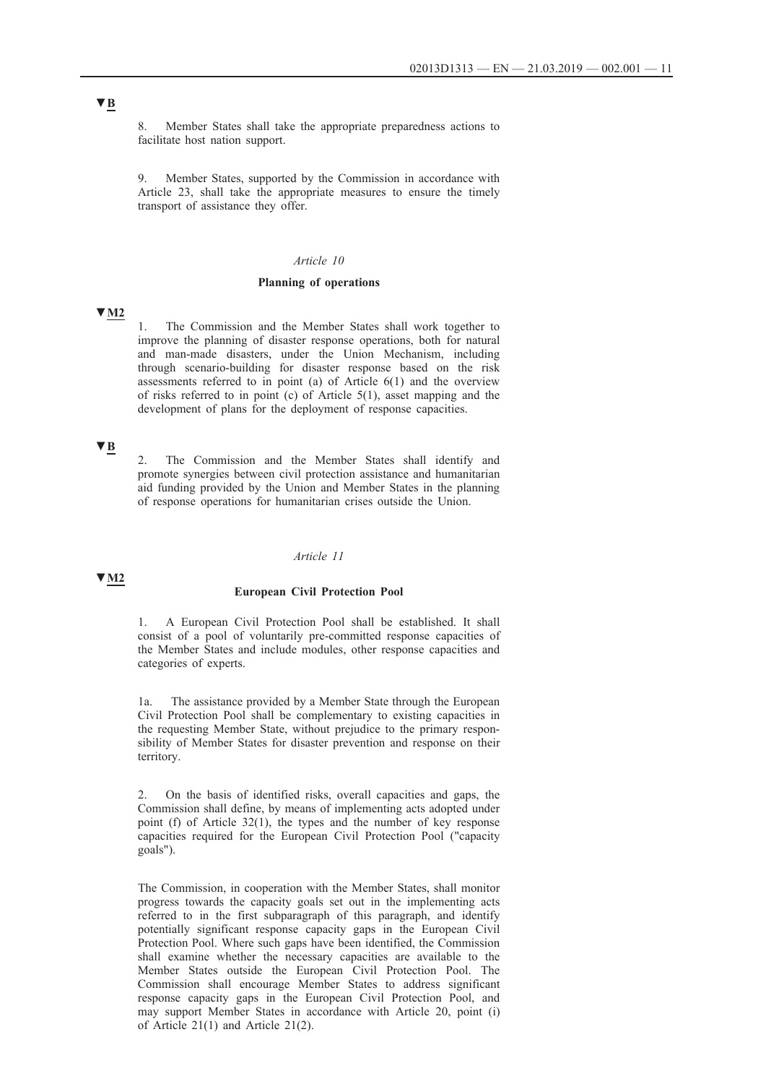8. Member States shall take the appropriate preparedness actions to facilitate host nation support.

9. Member States, supported by the Commission in accordance with Article 23, shall take the appropriate measures to ensure the timely transport of assistance they offer.

### *Article 10*

#### **Planning of operations**

**▼M2**

1. The Commission and the Member States shall work together to improve the planning of disaster response operations, both for natural and man-made disasters, under the Union Mechanism, including through scenario-building for disaster response based on the risk assessments referred to in point (a) of Article 6(1) and the overview of risks referred to in point (c) of Article 5(1), asset mapping and the development of plans for the deployment of response capacities.

### **▼B**

**▼M2**

2. The Commission and the Member States shall identify and promote synergies between civil protection assistance and humanitarian aid funding provided by the Union and Member States in the planning of response operations for humanitarian crises outside the Union.

#### *Article 11*

#### **European Civil Protection Pool**

1. A European Civil Protection Pool shall be established. It shall consist of a pool of voluntarily pre-committed response capacities of the Member States and include modules, other response capacities and categories of experts.

1a. The assistance provided by a Member State through the European Civil Protection Pool shall be complementary to existing capacities in the requesting Member State, without prejudice to the primary responsibility of Member States for disaster prevention and response on their territory.

2. On the basis of identified risks, overall capacities and gaps, the Commission shall define, by means of implementing acts adopted under point (f) of Article 32(1), the types and the number of key response capacities required for the European Civil Protection Pool ("capacity goals").

The Commission, in cooperation with the Member States, shall monitor progress towards the capacity goals set out in the implementing acts referred to in the first subparagraph of this paragraph, and identify potentially significant response capacity gaps in the European Civil Protection Pool. Where such gaps have been identified, the Commission shall examine whether the necessary capacities are available to the Member States outside the European Civil Protection Pool. The Commission shall encourage Member States to address significant response capacity gaps in the European Civil Protection Pool, and may support Member States in accordance with Article 20, point (i) of Article 21(1) and Article 21(2).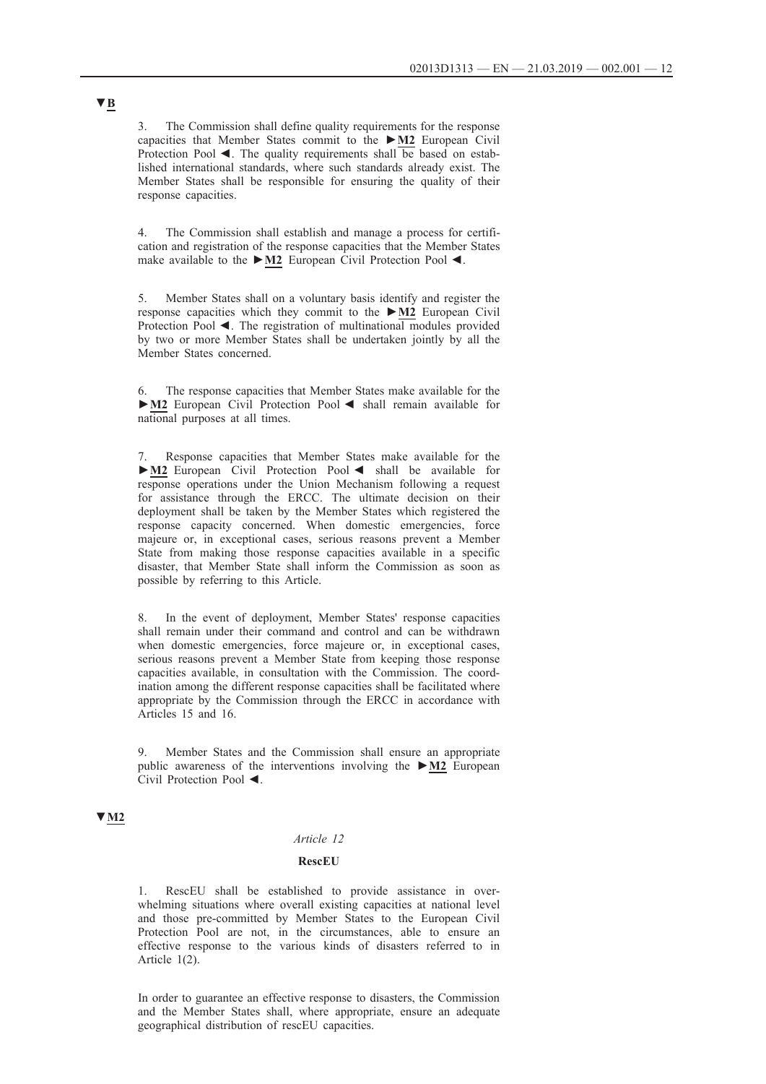3. The Commission shall define quality requirements for the response capacities that Member States commit to the **►M2** European Civil Protection Pool  $\blacktriangleleft$ . The quality requirements shall be based on established international standards, where such standards already exist. The Member States shall be responsible for ensuring the quality of their response capacities.

4. The Commission shall establish and manage a process for certification and registration of the response capacities that the Member States make available to the **►M2** European Civil Protection Pool ◄.

5. Member States shall on a voluntary basis identify and register the response capacities which they commit to the **►M2** European Civil Protection Pool ◄. The registration of multinational modules provided by two or more Member States shall be undertaken jointly by all the Member States concerned.

6. The response capacities that Member States make available for the **►M2** European Civil Protection Pool ◄ shall remain available for national purposes at all times.

7. Response capacities that Member States make available for the **►M2** European Civil Protection Pool ◄ shall be available for response operations under the Union Mechanism following a request for assistance through the ERCC. The ultimate decision on their deployment shall be taken by the Member States which registered the response capacity concerned. When domestic emergencies, force majeure or, in exceptional cases, serious reasons prevent a Member State from making those response capacities available in a specific disaster, that Member State shall inform the Commission as soon as possible by referring to this Article.

8. In the event of deployment, Member States' response capacities shall remain under their command and control and can be withdrawn when domestic emergencies, force majeure or, in exceptional cases, serious reasons prevent a Member State from keeping those response capacities available, in consultation with the Commission. The coordination among the different response capacities shall be facilitated where appropriate by the Commission through the ERCC in accordance with Articles 15 and 16.

9. Member States and the Commission shall ensure an appropriate public awareness of the interventions involving the **►M2** European Civil Protection Pool ◄.

### **▼M2**

### *Article 12*

### **RescEU**

RescEU shall be established to provide assistance in overwhelming situations where overall existing capacities at national level and those pre-committed by Member States to the European Civil Protection Pool are not, in the circumstances, able to ensure an effective response to the various kinds of disasters referred to in Article 1(2).

In order to guarantee an effective response to disasters, the Commission and the Member States shall, where appropriate, ensure an adequate geographical distribution of rescEU capacities.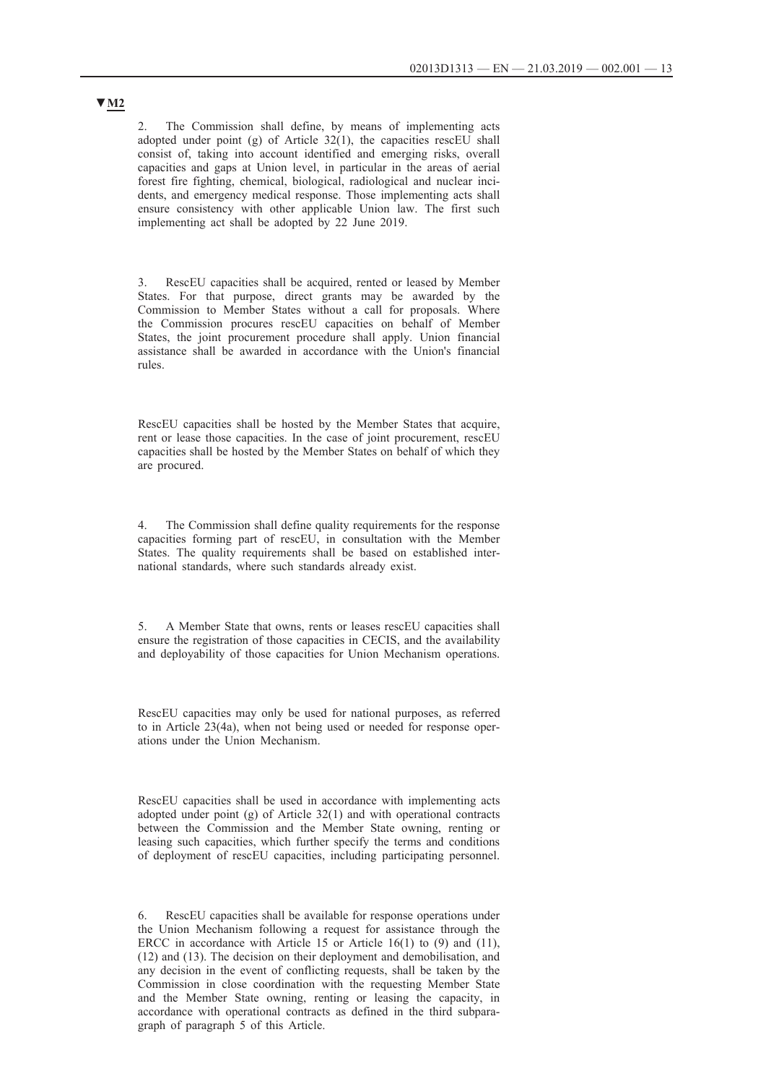2. The Commission shall define, by means of implementing acts adopted under point (g) of Article 32(1), the capacities rescEU shall consist of, taking into account identified and emerging risks, overall capacities and gaps at Union level, in particular in the areas of aerial forest fire fighting, chemical, biological, radiological and nuclear incidents, and emergency medical response. Those implementing acts shall ensure consistency with other applicable Union law. The first such implementing act shall be adopted by 22 June 2019.

3. RescEU capacities shall be acquired, rented or leased by Member States. For that purpose, direct grants may be awarded by the Commission to Member States without a call for proposals. Where the Commission procures rescEU capacities on behalf of Member States, the joint procurement procedure shall apply. Union financial assistance shall be awarded in accordance with the Union's financial rules.

RescEU capacities shall be hosted by the Member States that acquire, rent or lease those capacities. In the case of joint procurement, rescEU capacities shall be hosted by the Member States on behalf of which they are procured.

4. The Commission shall define quality requirements for the response capacities forming part of rescEU, in consultation with the Member States. The quality requirements shall be based on established international standards, where such standards already exist.

5. A Member State that owns, rents or leases rescEU capacities shall ensure the registration of those capacities in CECIS, and the availability and deployability of those capacities for Union Mechanism operations.

RescEU capacities may only be used for national purposes, as referred to in Article 23(4a), when not being used or needed for response operations under the Union Mechanism.

RescEU capacities shall be used in accordance with implementing acts adopted under point (g) of Article 32(1) and with operational contracts between the Commission and the Member State owning, renting or leasing such capacities, which further specify the terms and conditions of deployment of rescEU capacities, including participating personnel.

6. RescEU capacities shall be available for response operations under the Union Mechanism following a request for assistance through the ERCC in accordance with Article 15 or Article 16(1) to (9) and (11), (12) and (13). The decision on their deployment and demobilisation, and any decision in the event of conflicting requests, shall be taken by the Commission in close coordination with the requesting Member State and the Member State owning, renting or leasing the capacity, in accordance with operational contracts as defined in the third subparagraph of paragraph 5 of this Article.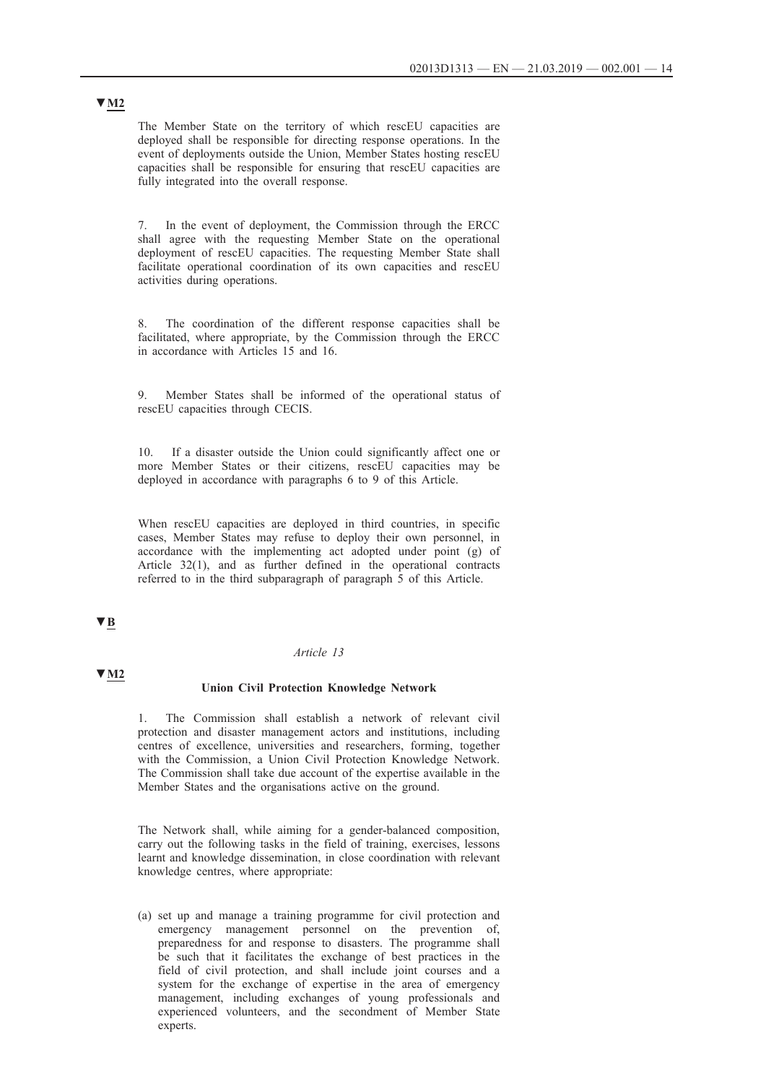The Member State on the territory of which rescEU capacities are deployed shall be responsible for directing response operations. In the event of deployments outside the Union, Member States hosting rescEU capacities shall be responsible for ensuring that rescEU capacities are fully integrated into the overall response.

7. In the event of deployment, the Commission through the ERCC shall agree with the requesting Member State on the operational deployment of rescEU capacities. The requesting Member State shall facilitate operational coordination of its own capacities and rescEU activities during operations.

8. The coordination of the different response capacities shall be facilitated, where appropriate, by the Commission through the ERCC in accordance with Articles 15 and 16.

9. Member States shall be informed of the operational status of rescEU capacities through CECIS.

10. If a disaster outside the Union could significantly affect one or more Member States or their citizens, rescEU capacities may be deployed in accordance with paragraphs 6 to 9 of this Article.

When rescEU capacities are deployed in third countries, in specific cases, Member States may refuse to deploy their own personnel, in accordance with the implementing act adopted under point (g) of Article 32(1), and as further defined in the operational contracts referred to in the third subparagraph of paragraph 5 of this Article.

# **▼B**

#### *Article 13*

### **▼M2**

#### **Union Civil Protection Knowledge Network**

1. The Commission shall establish a network of relevant civil protection and disaster management actors and institutions, including centres of excellence, universities and researchers, forming, together with the Commission, a Union Civil Protection Knowledge Network. The Commission shall take due account of the expertise available in the Member States and the organisations active on the ground.

The Network shall, while aiming for a gender-balanced composition, carry out the following tasks in the field of training, exercises, lessons learnt and knowledge dissemination, in close coordination with relevant knowledge centres, where appropriate:

(a) set up and manage a training programme for civil protection and emergency management personnel on the prevention of, preparedness for and response to disasters. The programme shall be such that it facilitates the exchange of best practices in the field of civil protection, and shall include joint courses and a system for the exchange of expertise in the area of emergency management, including exchanges of young professionals and experienced volunteers, and the secondment of Member State experts.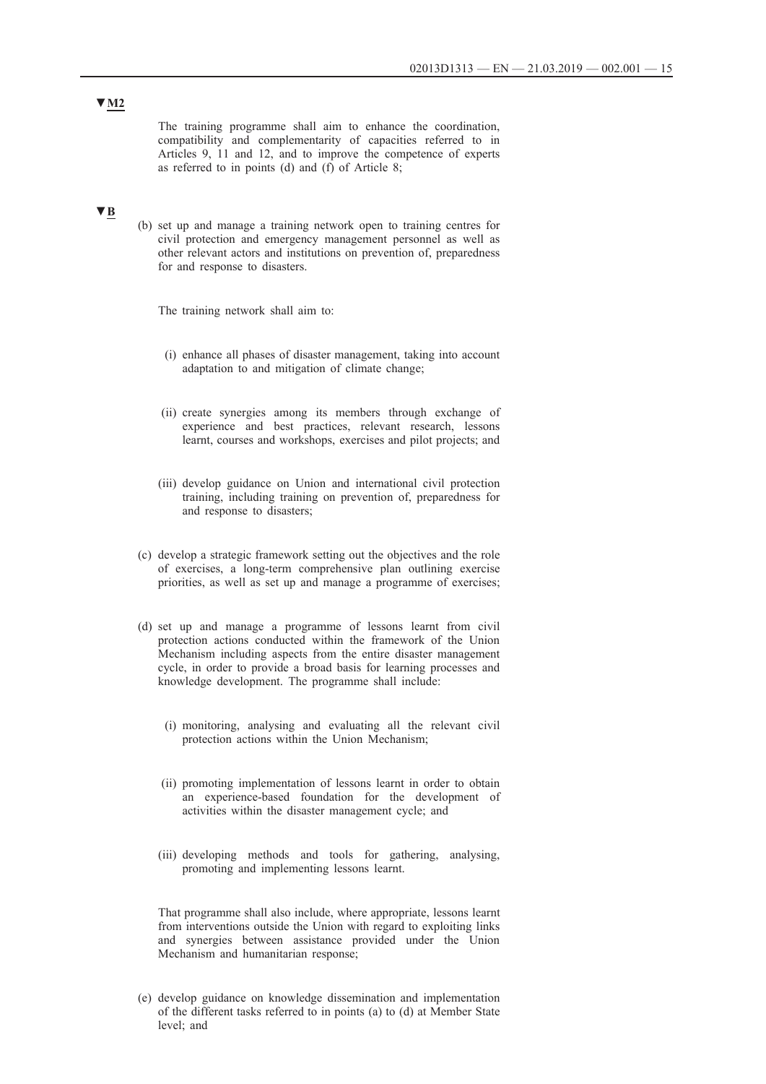The training programme shall aim to enhance the coordination, compatibility and complementarity of capacities referred to in Articles 9, 11 and 12, and to improve the competence of experts as referred to in points (d) and (f) of Article 8;

# **▼B**

(b) set up and manage a training network open to training centres for civil protection and emergency management personnel as well as other relevant actors and institutions on prevention of, preparedness for and response to disasters.

The training network shall aim to:

- (i) enhance all phases of disaster management, taking into account adaptation to and mitigation of climate change;
- (ii) create synergies among its members through exchange of experience and best practices, relevant research, lessons learnt, courses and workshops, exercises and pilot projects; and
- (iii) develop guidance on Union and international civil protection training, including training on prevention of, preparedness for and response to disasters;
- (c) develop a strategic framework setting out the objectives and the role of exercises, a long-term comprehensive plan outlining exercise priorities, as well as set up and manage a programme of exercises;
- (d) set up and manage a programme of lessons learnt from civil protection actions conducted within the framework of the Union Mechanism including aspects from the entire disaster management cycle, in order to provide a broad basis for learning processes and knowledge development. The programme shall include:
	- (i) monitoring, analysing and evaluating all the relevant civil protection actions within the Union Mechanism;
	- (ii) promoting implementation of lessons learnt in order to obtain an experience-based foundation for the development of activities within the disaster management cycle; and
	- (iii) developing methods and tools for gathering, analysing, promoting and implementing lessons learnt.

That programme shall also include, where appropriate, lessons learnt from interventions outside the Union with regard to exploiting links and synergies between assistance provided under the Union Mechanism and humanitarian response;

(e) develop guidance on knowledge dissemination and implementation of the different tasks referred to in points (a) to (d) at Member State level; and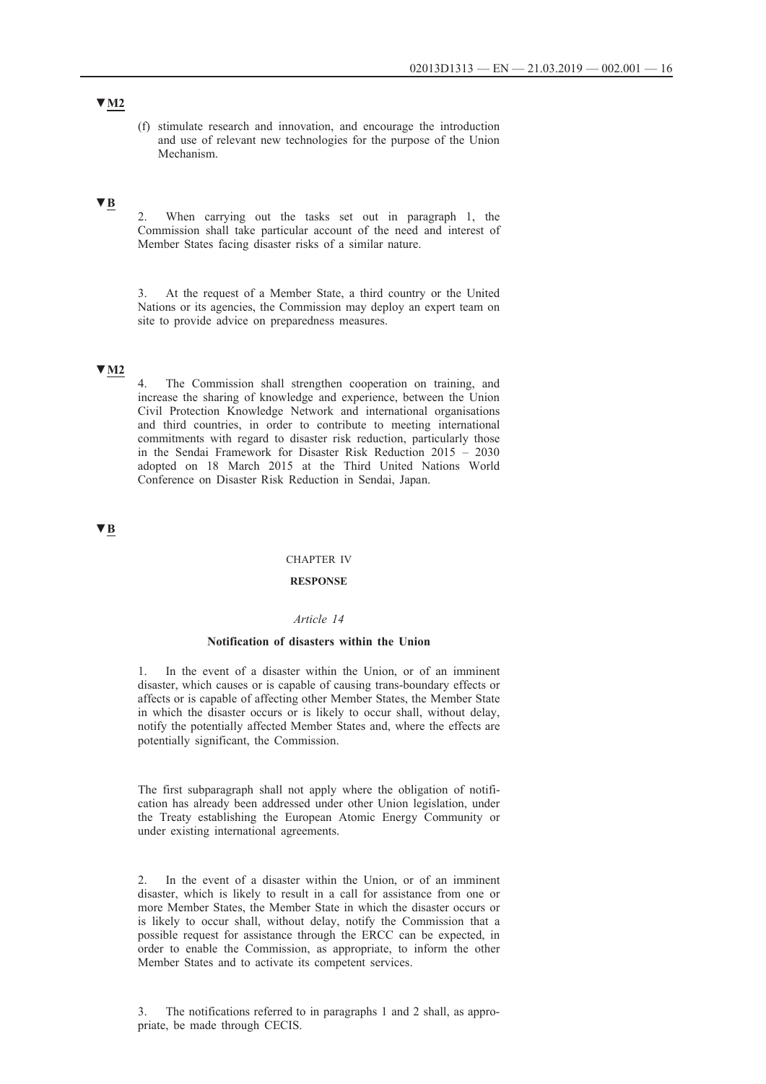(f) stimulate research and innovation, and encourage the introduction and use of relevant new technologies for the purpose of the Union Mechanism.

# **▼B**

2. When carrying out the tasks set out in paragraph 1, the Commission shall take particular account of the need and interest of Member States facing disaster risks of a similar nature.

3. At the request of a Member State, a third country or the United Nations or its agencies, the Commission may deploy an expert team on site to provide advice on preparedness measures.

# **▼M2**

4. The Commission shall strengthen cooperation on training, and increase the sharing of knowledge and experience, between the Union Civil Protection Knowledge Network and international organisations and third countries, in order to contribute to meeting international commitments with regard to disaster risk reduction, particularly those in the Sendai Framework for Disaster Risk Reduction 2015 – 2030 adopted on 18 March 2015 at the Third United Nations World Conference on Disaster Risk Reduction in Sendai, Japan.

# **▼B**

#### CHAPTER IV

#### **RESPONSE**

### *Article 14*

#### **Notification of disasters within the Union**

1. In the event of a disaster within the Union, or of an imminent disaster, which causes or is capable of causing trans-boundary effects or affects or is capable of affecting other Member States, the Member State in which the disaster occurs or is likely to occur shall, without delay, notify the potentially affected Member States and, where the effects are potentially significant, the Commission.

The first subparagraph shall not apply where the obligation of notification has already been addressed under other Union legislation, under the Treaty establishing the European Atomic Energy Community or under existing international agreements.

2. In the event of a disaster within the Union, or of an imminent disaster, which is likely to result in a call for assistance from one or more Member States, the Member State in which the disaster occurs or is likely to occur shall, without delay, notify the Commission that a possible request for assistance through the ERCC can be expected, in order to enable the Commission, as appropriate, to inform the other Member States and to activate its competent services.

3. The notifications referred to in paragraphs 1 and 2 shall, as appropriate, be made through CECIS.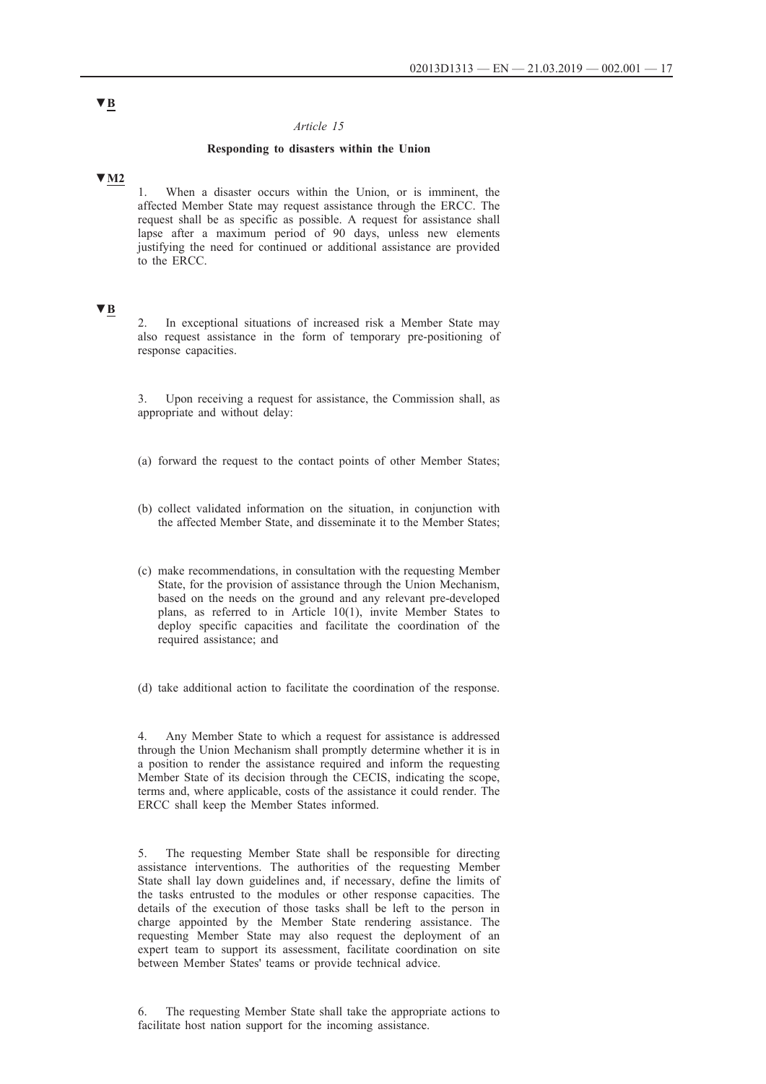### *Article 15*

### **Responding to disasters within the Union**

### **▼M2**

1. When a disaster occurs within the Union, or is imminent, the affected Member State may request assistance through the ERCC. The request shall be as specific as possible. A request for assistance shall lapse after a maximum period of 90 days, unless new elements justifying the need for continued or additional assistance are provided to the ERCC.

## **▼B**

In exceptional situations of increased risk a Member State may also request assistance in the form of temporary pre-positioning of response capacities.

3. Upon receiving a request for assistance, the Commission shall, as appropriate and without delay:

- (a) forward the request to the contact points of other Member States;
- (b) collect validated information on the situation, in conjunction with the affected Member State, and disseminate it to the Member States;
- (c) make recommendations, in consultation with the requesting Member State, for the provision of assistance through the Union Mechanism, based on the needs on the ground and any relevant pre-developed plans, as referred to in Article 10(1), invite Member States to deploy specific capacities and facilitate the coordination of the required assistance; and

(d) take additional action to facilitate the coordination of the response.

4. Any Member State to which a request for assistance is addressed through the Union Mechanism shall promptly determine whether it is in a position to render the assistance required and inform the requesting Member State of its decision through the CECIS, indicating the scope, terms and, where applicable, costs of the assistance it could render. The ERCC shall keep the Member States informed.

5. The requesting Member State shall be responsible for directing assistance interventions. The authorities of the requesting Member State shall lay down guidelines and, if necessary, define the limits of the tasks entrusted to the modules or other response capacities. The details of the execution of those tasks shall be left to the person in charge appointed by the Member State rendering assistance. The requesting Member State may also request the deployment of an expert team to support its assessment, facilitate coordination on site between Member States' teams or provide technical advice.

6. The requesting Member State shall take the appropriate actions to facilitate host nation support for the incoming assistance.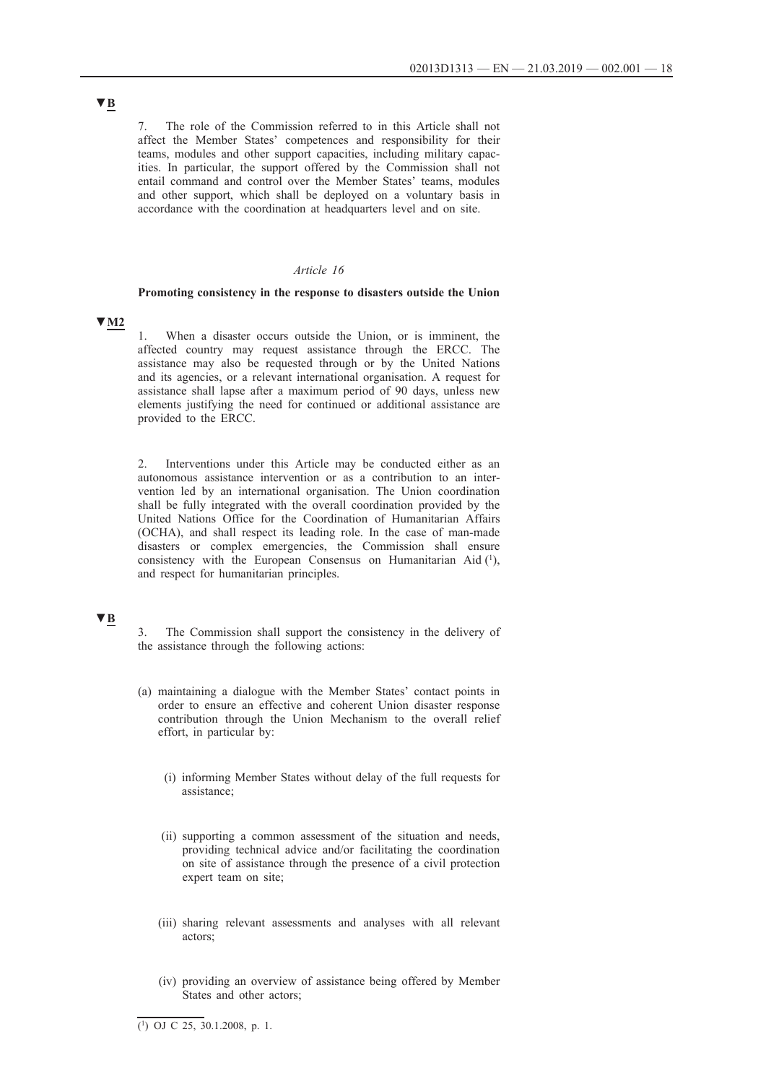7. The role of the Commission referred to in this Article shall not affect the Member States' competences and responsibility for their teams, modules and other support capacities, including military capacities. In particular, the support offered by the Commission shall not entail command and control over the Member States' teams, modules and other support, which shall be deployed on a voluntary basis in accordance with the coordination at headquarters level and on site.

#### *Article 16*

#### **Promoting consistency in the response to disasters outside the Union**

### **▼M2**

1. When a disaster occurs outside the Union, or is imminent, the affected country may request assistance through the ERCC. The assistance may also be requested through or by the United Nations and its agencies, or a relevant international organisation. A request for assistance shall lapse after a maximum period of 90 days, unless new elements justifying the need for continued or additional assistance are provided to the ERCC.

2. Interventions under this Article may be conducted either as an autonomous assistance intervention or as a contribution to an intervention led by an international organisation. The Union coordination shall be fully integrated with the overall coordination provided by the United Nations Office for the Coordination of Humanitarian Affairs (OCHA), and shall respect its leading role. In the case of man-made disasters or complex emergencies, the Commission shall ensure consistency with the European Consensus on Humanitarian Aid (1), and respect for humanitarian principles.

# **▼B**

3. The Commission shall support the consistency in the delivery of the assistance through the following actions:

- (a) maintaining a dialogue with the Member States' contact points in order to ensure an effective and coherent Union disaster response contribution through the Union Mechanism to the overall relief effort, in particular by:
	- (i) informing Member States without delay of the full requests for assistance;
	- (ii) supporting a common assessment of the situation and needs, providing technical advice and/or facilitating the coordination on site of assistance through the presence of a civil protection expert team on site;
	- (iii) sharing relevant assessments and analyses with all relevant actors;
	- (iv) providing an overview of assistance being offered by Member States and other actors;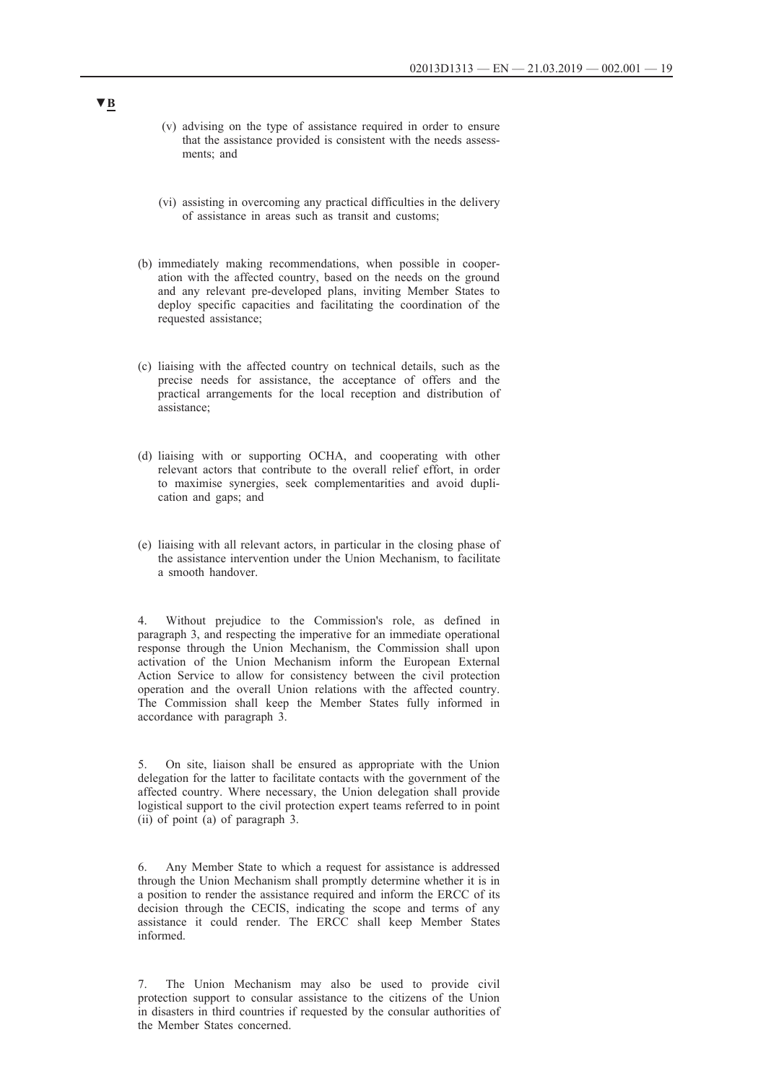- (v) advising on the type of assistance required in order to ensure that the assistance provided is consistent with the needs assessments; and
- (vi) assisting in overcoming any practical difficulties in the delivery of assistance in areas such as transit and customs;
- (b) immediately making recommendations, when possible in cooperation with the affected country, based on the needs on the ground and any relevant pre-developed plans, inviting Member States to deploy specific capacities and facilitating the coordination of the requested assistance;
- (c) liaising with the affected country on technical details, such as the precise needs for assistance, the acceptance of offers and the practical arrangements for the local reception and distribution of assistance;
- (d) liaising with or supporting OCHA, and cooperating with other relevant actors that contribute to the overall relief effort, in order to maximise synergies, seek complementarities and avoid duplication and gaps; and
- (e) liaising with all relevant actors, in particular in the closing phase of the assistance intervention under the Union Mechanism, to facilitate a smooth handover.

4. Without prejudice to the Commission's role, as defined in paragraph 3, and respecting the imperative for an immediate operational response through the Union Mechanism, the Commission shall upon activation of the Union Mechanism inform the European External Action Service to allow for consistency between the civil protection operation and the overall Union relations with the affected country. The Commission shall keep the Member States fully informed in accordance with paragraph 3.

5. On site, liaison shall be ensured as appropriate with the Union delegation for the latter to facilitate contacts with the government of the affected country. Where necessary, the Union delegation shall provide logistical support to the civil protection expert teams referred to in point (ii) of point (a) of paragraph 3.

6. Any Member State to which a request for assistance is addressed through the Union Mechanism shall promptly determine whether it is in a position to render the assistance required and inform the ERCC of its decision through the CECIS, indicating the scope and terms of any assistance it could render. The ERCC shall keep Member States informed.

7. The Union Mechanism may also be used to provide civil protection support to consular assistance to the citizens of the Union in disasters in third countries if requested by the consular authorities of the Member States concerned.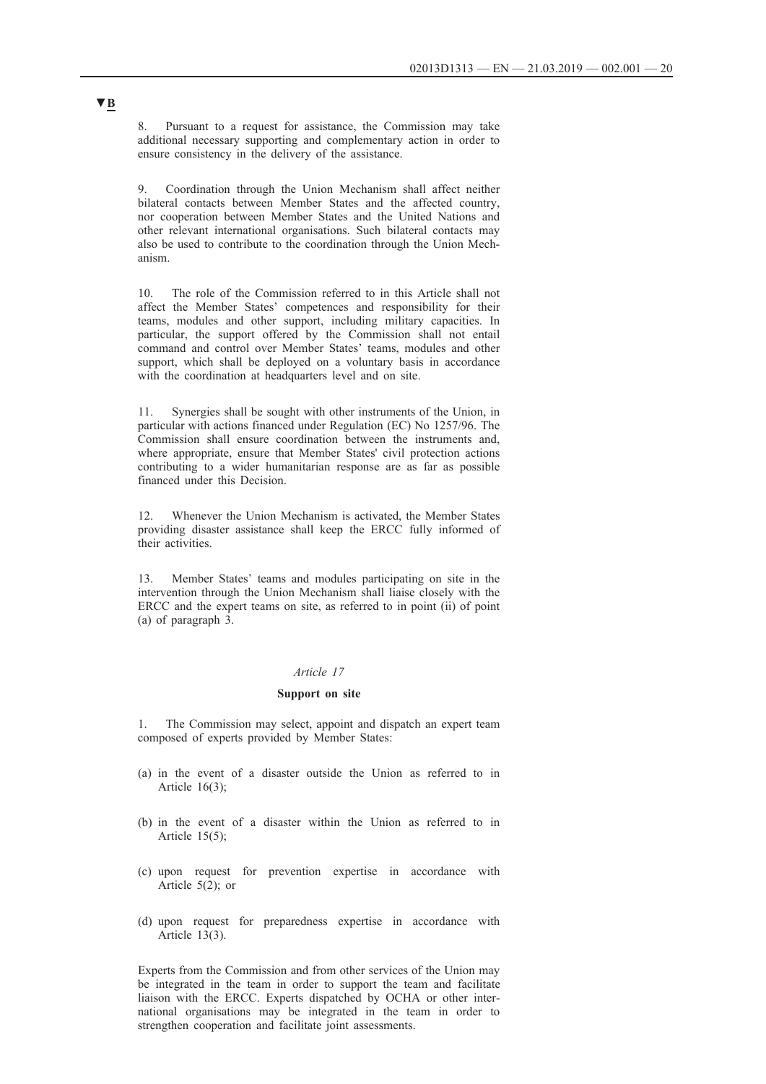8. Pursuant to a request for assistance, the Commission may take additional necessary supporting and complementary action in order to ensure consistency in the delivery of the assistance.

9. Coordination through the Union Mechanism shall affect neither bilateral contacts between Member States and the affected country, nor cooperation between Member States and the United Nations and other relevant international organisations. Such bilateral contacts may also be used to contribute to the coordination through the Union Mechanism.

10. The role of the Commission referred to in this Article shall not affect the Member States' competences and responsibility for their teams, modules and other support, including military capacities. In particular, the support offered by the Commission shall not entail command and control over Member States' teams, modules and other support, which shall be deployed on a voluntary basis in accordance with the coordination at headquarters level and on site.

11. Synergies shall be sought with other instruments of the Union, in particular with actions financed under Regulation (EC) No 1257/96. The Commission shall ensure coordination between the instruments and, where appropriate, ensure that Member States' civil protection actions contributing to a wider humanitarian response are as far as possible financed under this Decision.

12. Whenever the Union Mechanism is activated, the Member States providing disaster assistance shall keep the ERCC fully informed of their activities.

13. Member States' teams and modules participating on site in the intervention through the Union Mechanism shall liaise closely with the ERCC and the expert teams on site, as referred to in point (ii) of point (a) of paragraph 3.

### *Article 17*

#### **Support on site**

1. The Commission may select, appoint and dispatch an expert team composed of experts provided by Member States:

- (a) in the event of a disaster outside the Union as referred to in Article 16(3);
- (b) in the event of a disaster within the Union as referred to in Article 15(5);
- (c) upon request for prevention expertise in accordance with Article 5(2); or
- (d) upon request for preparedness expertise in accordance with Article 13(3).

Experts from the Commission and from other services of the Union may be integrated in the team in order to support the team and facilitate liaison with the ERCC. Experts dispatched by OCHA or other international organisations may be integrated in the team in order to strengthen cooperation and facilitate joint assessments.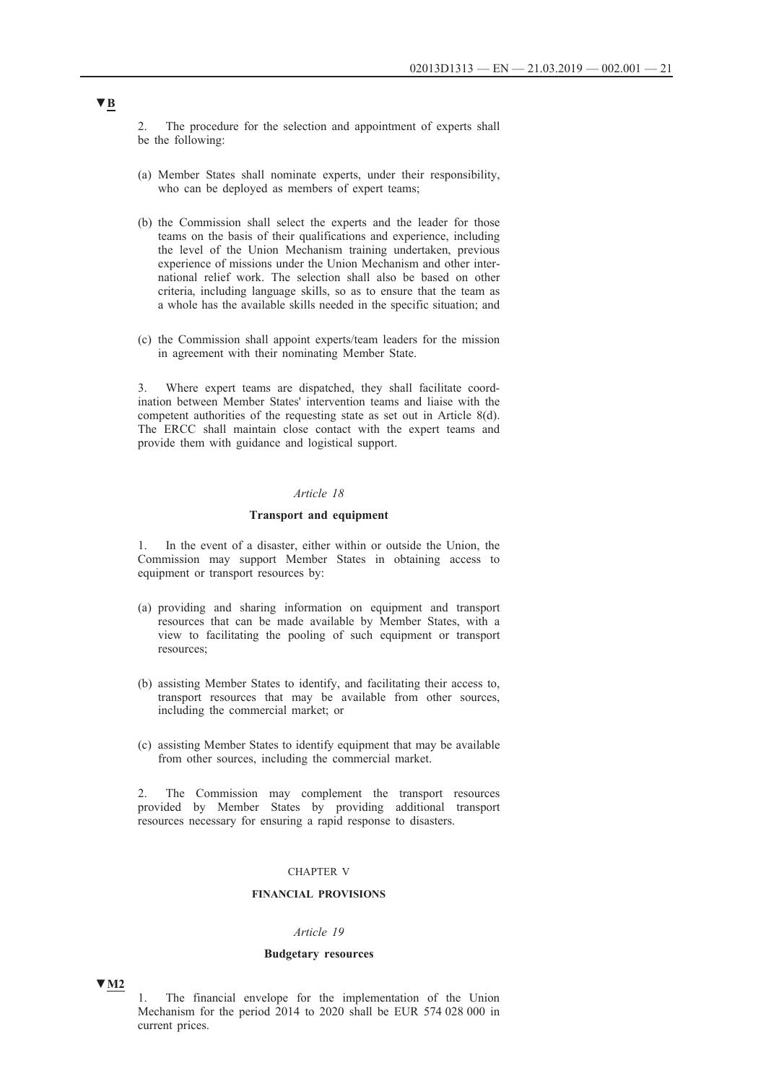2. The procedure for the selection and appointment of experts shall be the following:

- (a) Member States shall nominate experts, under their responsibility, who can be deployed as members of expert teams;
- (b) the Commission shall select the experts and the leader for those teams on the basis of their qualifications and experience, including the level of the Union Mechanism training undertaken, previous experience of missions under the Union Mechanism and other international relief work. The selection shall also be based on other criteria, including language skills, so as to ensure that the team as a whole has the available skills needed in the specific situation; and
- (c) the Commission shall appoint experts/team leaders for the mission in agreement with their nominating Member State.

3. Where expert teams are dispatched, they shall facilitate coordination between Member States' intervention teams and liaise with the competent authorities of the requesting state as set out in Article 8(d). The ERCC shall maintain close contact with the expert teams and provide them with guidance and logistical support.

#### *Article 18*

#### **Transport and equipment**

1. In the event of a disaster, either within or outside the Union, the Commission may support Member States in obtaining access to equipment or transport resources by:

- (a) providing and sharing information on equipment and transport resources that can be made available by Member States, with a view to facilitating the pooling of such equipment or transport resources;
- (b) assisting Member States to identify, and facilitating their access to, transport resources that may be available from other sources, including the commercial market; or
- (c) assisting Member States to identify equipment that may be available from other sources, including the commercial market.

2. The Commission may complement the transport resources provided by Member States by providing additional transport resources necessary for ensuring a rapid response to disasters.

#### CHAPTER V

### **FINANCIAL PROVISIONS**

#### *Article 19*

#### **Budgetary resources**

**▼M2**

1. The financial envelope for the implementation of the Union Mechanism for the period 2014 to 2020 shall be EUR 574 028 000 in current prices.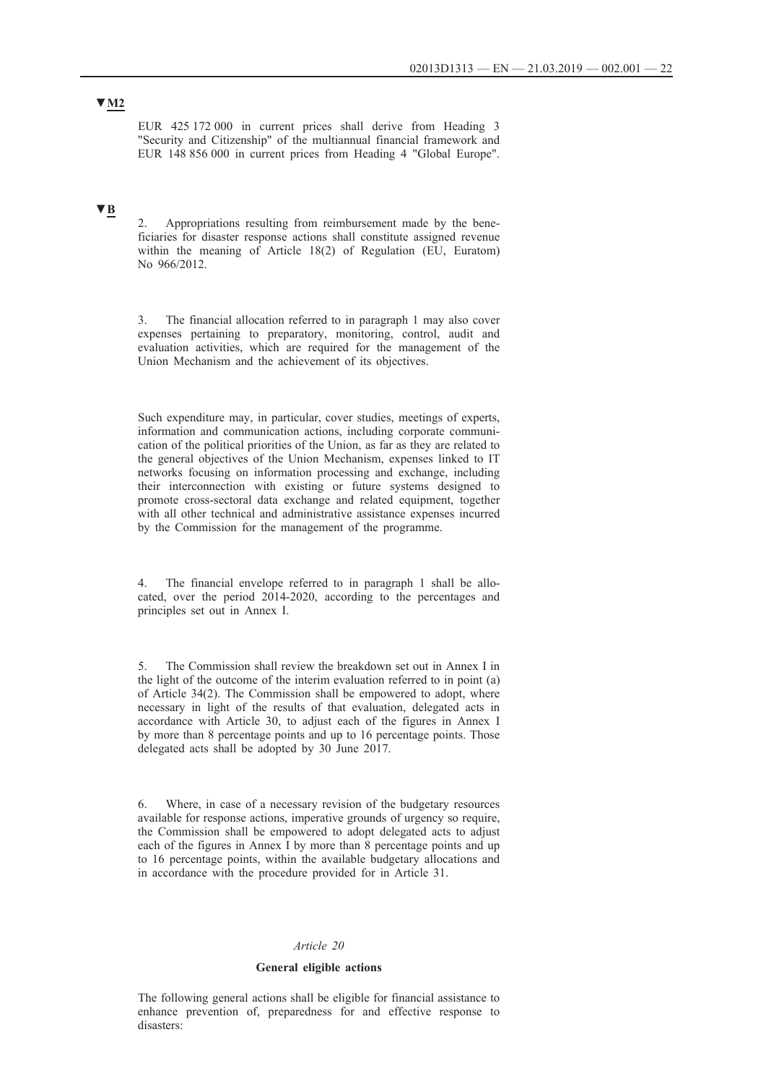EUR 425 172 000 in current prices shall derive from Heading 3 "Security and Citizenship" of the multiannual financial framework and EUR 148 856 000 in current prices from Heading 4 "Global Europe".

# **▼B**

Appropriations resulting from reimbursement made by the beneficiaries for disaster response actions shall constitute assigned revenue within the meaning of Article 18(2) of Regulation (EU, Euratom) No 966/2012.

3. The financial allocation referred to in paragraph 1 may also cover expenses pertaining to preparatory, monitoring, control, audit and evaluation activities, which are required for the management of the Union Mechanism and the achievement of its objectives.

Such expenditure may, in particular, cover studies, meetings of experts, information and communication actions, including corporate communication of the political priorities of the Union, as far as they are related to the general objectives of the Union Mechanism, expenses linked to IT networks focusing on information processing and exchange, including their interconnection with existing or future systems designed to promote cross-sectoral data exchange and related equipment, together with all other technical and administrative assistance expenses incurred by the Commission for the management of the programme.

4. The financial envelope referred to in paragraph 1 shall be allocated, over the period 2014-2020, according to the percentages and principles set out in Annex I.

5. The Commission shall review the breakdown set out in Annex I in the light of the outcome of the interim evaluation referred to in point (a) of Article 34(2). The Commission shall be empowered to adopt, where necessary in light of the results of that evaluation, delegated acts in accordance with Article 30, to adjust each of the figures in Annex I by more than 8 percentage points and up to 16 percentage points. Those delegated acts shall be adopted by 30 June 2017.

6. Where, in case of a necessary revision of the budgetary resources available for response actions, imperative grounds of urgency so require, the Commission shall be empowered to adopt delegated acts to adjust each of the figures in Annex I by more than 8 percentage points and up to 16 percentage points, within the available budgetary allocations and in accordance with the procedure provided for in Article 31.

#### *Article 20*

#### **General eligible actions**

The following general actions shall be eligible for financial assistance to enhance prevention of, preparedness for and effective response to disasters: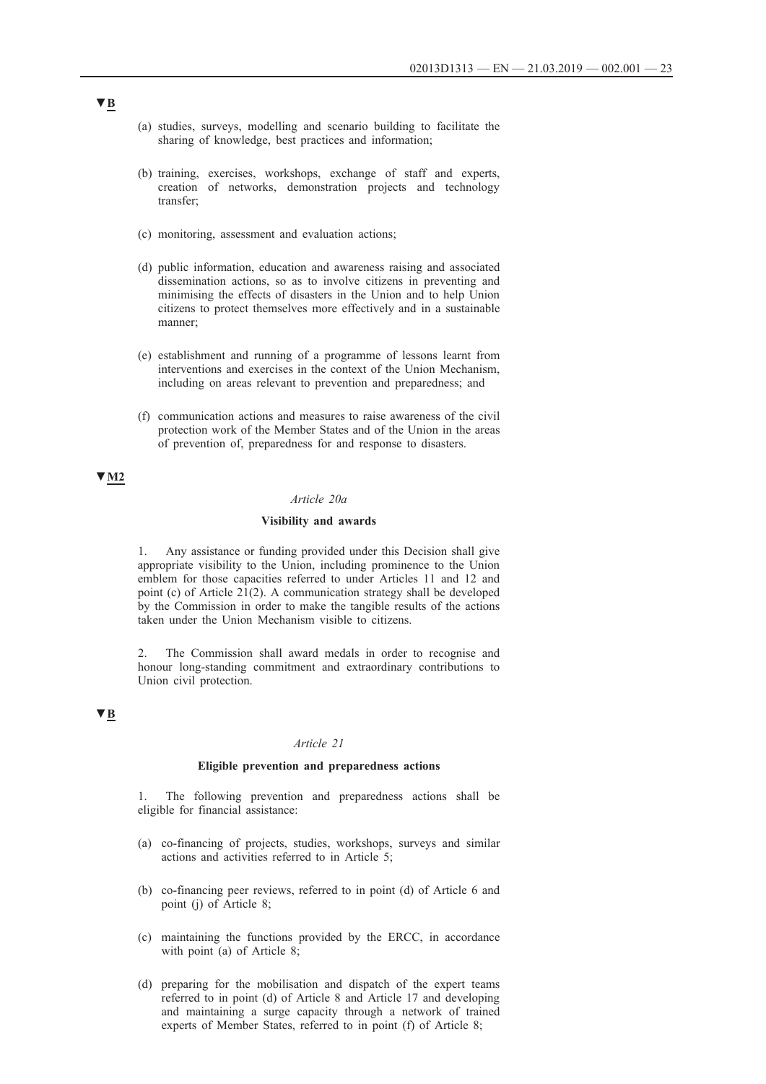- (a) studies, surveys, modelling and scenario building to facilitate the sharing of knowledge, best practices and information;
- (b) training, exercises, workshops, exchange of staff and experts, creation of networks, demonstration projects and technology transfer;
- (c) monitoring, assessment and evaluation actions;
- (d) public information, education and awareness raising and associated dissemination actions, so as to involve citizens in preventing and minimising the effects of disasters in the Union and to help Union citizens to protect themselves more effectively and in a sustainable manner;
- (e) establishment and running of a programme of lessons learnt from interventions and exercises in the context of the Union Mechanism, including on areas relevant to prevention and preparedness; and
- (f) communication actions and measures to raise awareness of the civil protection work of the Member States and of the Union in the areas of prevention of, preparedness for and response to disasters.

### **▼M2**

### *Article 20a*

#### **Visibility and awards**

1. Any assistance or funding provided under this Decision shall give appropriate visibility to the Union, including prominence to the Union emblem for those capacities referred to under Articles 11 and 12 and point (c) of Article 21(2). A communication strategy shall be developed by the Commission in order to make the tangible results of the actions taken under the Union Mechanism visible to citizens.

2. The Commission shall award medals in order to recognise and honour long-standing commitment and extraordinary contributions to Union civil protection.

### **▼B**

#### *Article 21*

#### **Eligible prevention and preparedness actions**

1. The following prevention and preparedness actions shall be eligible for financial assistance:

- (a) co-financing of projects, studies, workshops, surveys and similar actions and activities referred to in Article 5;
- (b) co-financing peer reviews, referred to in point (d) of Article 6 and point (j) of Article 8;
- (c) maintaining the functions provided by the ERCC, in accordance with point (a) of Article 8;
- (d) preparing for the mobilisation and dispatch of the expert teams referred to in point (d) of Article 8 and Article 17 and developing and maintaining a surge capacity through a network of trained experts of Member States, referred to in point (f) of Article 8;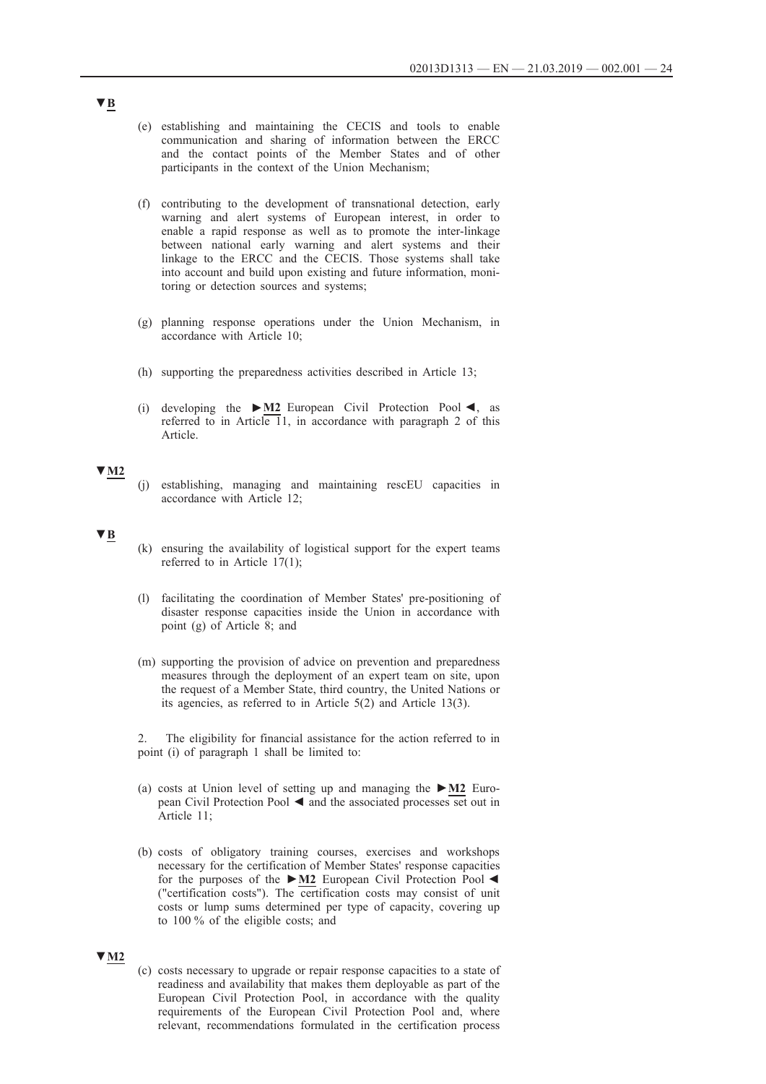- (e) establishing and maintaining the CECIS and tools to enable communication and sharing of information between the ERCC and the contact points of the Member States and of other participants in the context of the Union Mechanism;
- (f) contributing to the development of transnational detection, early warning and alert systems of European interest, in order to enable a rapid response as well as to promote the inter-linkage between national early warning and alert systems and their linkage to the ERCC and the CECIS. Those systems shall take into account and build upon existing and future information, monitoring or detection sources and systems;
- (g) planning response operations under the Union Mechanism, in accordance with Article 10;
- (h) supporting the preparedness activities described in Article 13;
- (i) developing the **►M2** European Civil Protection Pool ◄, as referred to in Article 11, in accordance with paragraph 2 of this Article.

### **▼M2**

(j) establishing, managing and maintaining rescEU capacities in accordance with Article 12;

#### **▼B**

- (k) ensuring the availability of logistical support for the expert teams referred to in Article 17(1);
- (l) facilitating the coordination of Member States' pre-positioning of disaster response capacities inside the Union in accordance with point (g) of Article 8; and
- (m) supporting the provision of advice on prevention and preparedness measures through the deployment of an expert team on site, upon the request of a Member State, third country, the United Nations or its agencies, as referred to in Article 5(2) and Article 13(3).

2. The eligibility for financial assistance for the action referred to in point (i) of paragraph 1 shall be limited to:

- (a) costs at Union level of setting up and managing the **►M2** European Civil Protection Pool ◄ and the associated processes set out in Article 11;
- (b) costs of obligatory training courses, exercises and workshops necessary for the certification of Member States' response capacities for the purposes of the **►M2** European Civil Protection Pool ◄ ("certification costs"). The certification costs may consist of unit costs or lump sums determined per type of capacity, covering up to 100 % of the eligible costs; and

#### **▼M2**

(c) costs necessary to upgrade or repair response capacities to a state of readiness and availability that makes them deployable as part of the European Civil Protection Pool, in accordance with the quality requirements of the European Civil Protection Pool and, where relevant, recommendations formulated in the certification process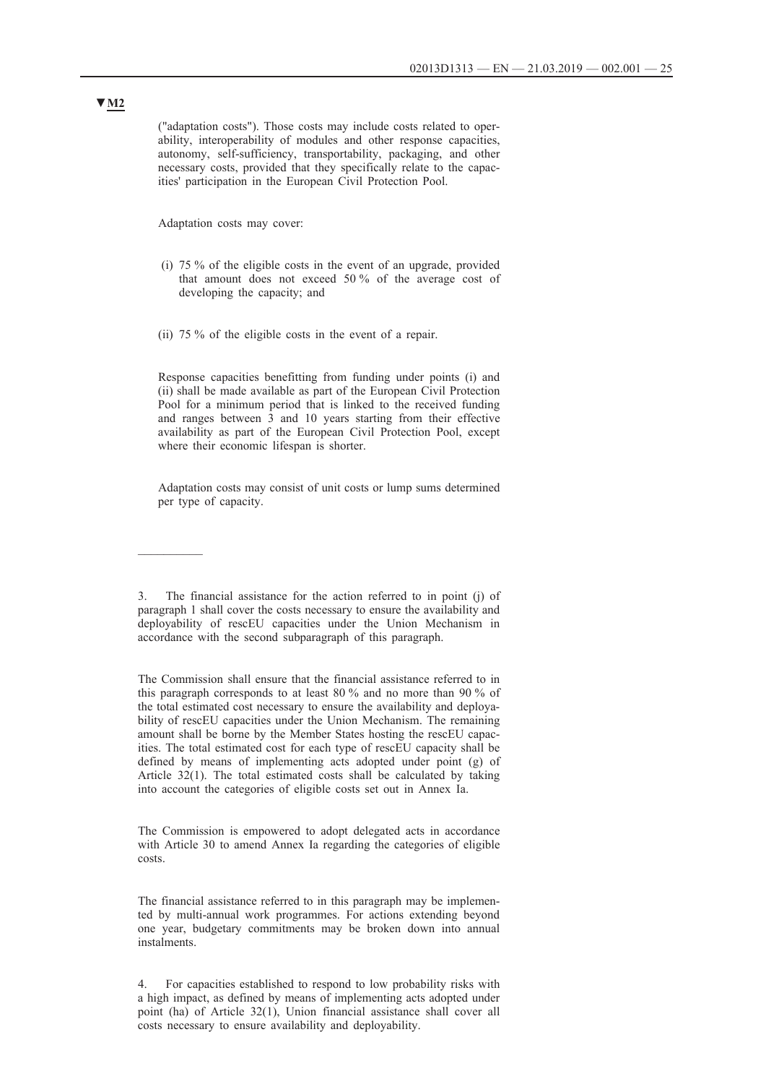("adaptation costs"). Those costs may include costs related to operability, interoperability of modules and other response capacities, autonomy, self-sufficiency, transportability, packaging, and other necessary costs, provided that they specifically relate to the capacities' participation in the European Civil Protection Pool.

Adaptation costs may cover:

 $\frac{1}{2}$ 

- (i) 75 % of the eligible costs in the event of an upgrade, provided that amount does not exceed 50 % of the average cost of developing the capacity; and
- (ii) 75 % of the eligible costs in the event of a repair.

Response capacities benefitting from funding under points (i) and (ii) shall be made available as part of the European Civil Protection Pool for a minimum period that is linked to the received funding and ranges between 3 and 10 years starting from their effective availability as part of the European Civil Protection Pool, except where their economic lifespan is shorter.

Adaptation costs may consist of unit costs or lump sums determined per type of capacity.

The financial assistance for the action referred to in point (j) of paragraph 1 shall cover the costs necessary to ensure the availability and deployability of rescEU capacities under the Union Mechanism in accordance with the second subparagraph of this paragraph.

The Commission shall ensure that the financial assistance referred to in this paragraph corresponds to at least 80 % and no more than 90 % of the total estimated cost necessary to ensure the availability and deployability of rescEU capacities under the Union Mechanism. The remaining amount shall be borne by the Member States hosting the rescEU capacities. The total estimated cost for each type of rescEU capacity shall be defined by means of implementing acts adopted under point (g) of Article 32(1). The total estimated costs shall be calculated by taking into account the categories of eligible costs set out in Annex Ia.

The Commission is empowered to adopt delegated acts in accordance with Article 30 to amend Annex Ia regarding the categories of eligible costs.

The financial assistance referred to in this paragraph may be implemented by multi-annual work programmes. For actions extending beyond one year, budgetary commitments may be broken down into annual instalments.

4. For capacities established to respond to low probability risks with a high impact, as defined by means of implementing acts adopted under point (ha) of Article 32(1), Union financial assistance shall cover all costs necessary to ensure availability and deployability.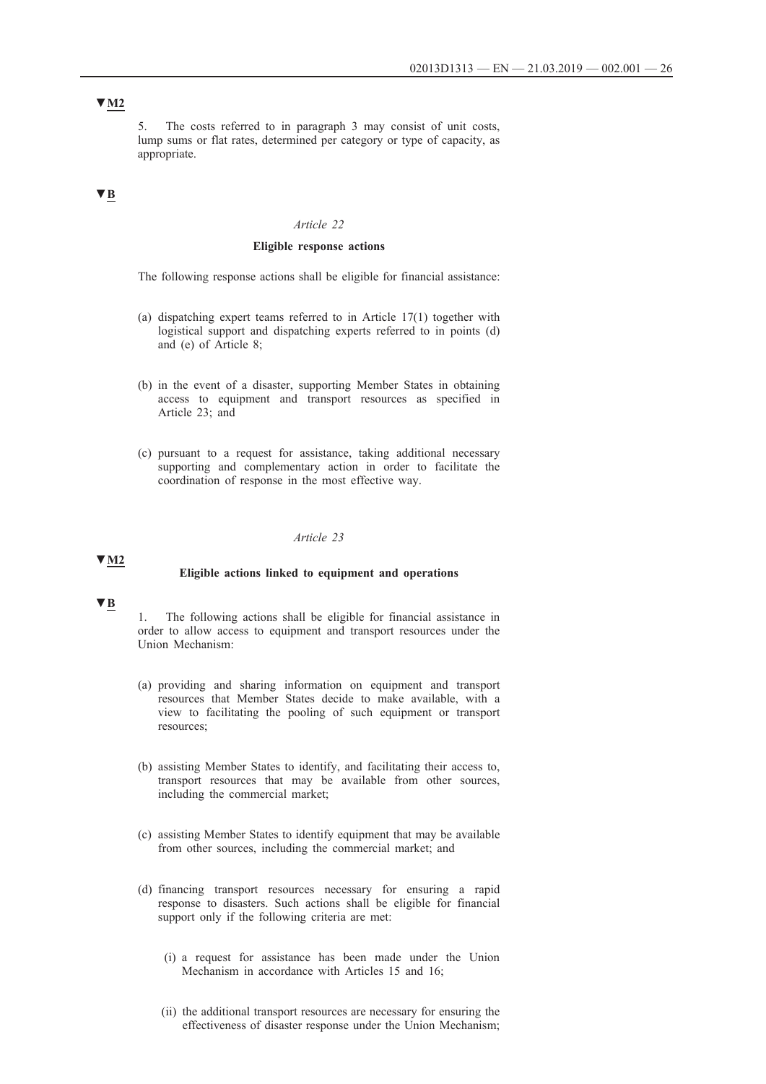# **▼M2**

5. The costs referred to in paragraph 3 may consist of unit costs, lump sums or flat rates, determined per category or type of capacity, as appropriate.

### **▼B**

#### *Article 22*

### **Eligible response actions**

The following response actions shall be eligible for financial assistance:

- (a) dispatching expert teams referred to in Article 17(1) together with logistical support and dispatching experts referred to in points (d) and (e) of Article 8;
- (b) in the event of a disaster, supporting Member States in obtaining access to equipment and transport resources as specified in Article 23; and
- (c) pursuant to a request for assistance, taking additional necessary supporting and complementary action in order to facilitate the coordination of response in the most effective way.

#### *Article 23*

### **▼M2**

#### **Eligible actions linked to equipment and operations**

### **▼B**

The following actions shall be eligible for financial assistance in order to allow access to equipment and transport resources under the Union Mechanism:

- (a) providing and sharing information on equipment and transport resources that Member States decide to make available, with a view to facilitating the pooling of such equipment or transport resources;
- (b) assisting Member States to identify, and facilitating their access to, transport resources that may be available from other sources, including the commercial market;
- (c) assisting Member States to identify equipment that may be available from other sources, including the commercial market; and
- (d) financing transport resources necessary for ensuring a rapid response to disasters. Such actions shall be eligible for financial support only if the following criteria are met:
	- (i) a request for assistance has been made under the Union Mechanism in accordance with Articles 15 and 16;
	- (ii) the additional transport resources are necessary for ensuring the effectiveness of disaster response under the Union Mechanism;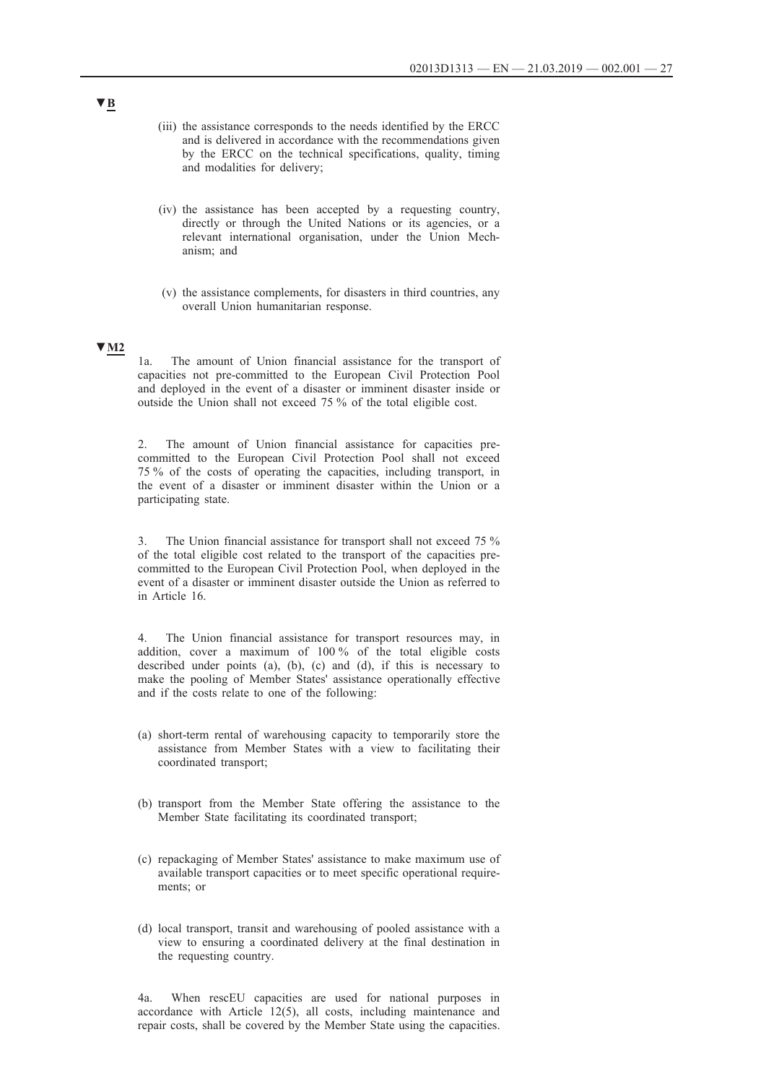- (iii) the assistance corresponds to the needs identified by the ERCC and is delivered in accordance with the recommendations given by the ERCC on the technical specifications, quality, timing and modalities for delivery;
- (iv) the assistance has been accepted by a requesting country, directly or through the United Nations or its agencies, or a relevant international organisation, under the Union Mechanism; and
- (v) the assistance complements, for disasters in third countries, any overall Union humanitarian response.

### **▼M2**

1a. The amount of Union financial assistance for the transport of capacities not pre-committed to the European Civil Protection Pool and deployed in the event of a disaster or imminent disaster inside or outside the Union shall not exceed 75 % of the total eligible cost.

2. The amount of Union financial assistance for capacities precommitted to the European Civil Protection Pool shall not exceed 75 % of the costs of operating the capacities, including transport, in the event of a disaster or imminent disaster within the Union or a participating state.

3. The Union financial assistance for transport shall not exceed 75 % of the total eligible cost related to the transport of the capacities precommitted to the European Civil Protection Pool, when deployed in the event of a disaster or imminent disaster outside the Union as referred to in Article 16.

4. The Union financial assistance for transport resources may, in addition, cover a maximum of 100 % of the total eligible costs described under points (a), (b), (c) and (d), if this is necessary to make the pooling of Member States' assistance operationally effective and if the costs relate to one of the following:

- (a) short-term rental of warehousing capacity to temporarily store the assistance from Member States with a view to facilitating their coordinated transport;
- (b) transport from the Member State offering the assistance to the Member State facilitating its coordinated transport;
- (c) repackaging of Member States' assistance to make maximum use of available transport capacities or to meet specific operational requirements; or
- (d) local transport, transit and warehousing of pooled assistance with a view to ensuring a coordinated delivery at the final destination in the requesting country.

4a. When rescEU capacities are used for national purposes in accordance with Article 12(5), all costs, including maintenance and repair costs, shall be covered by the Member State using the capacities.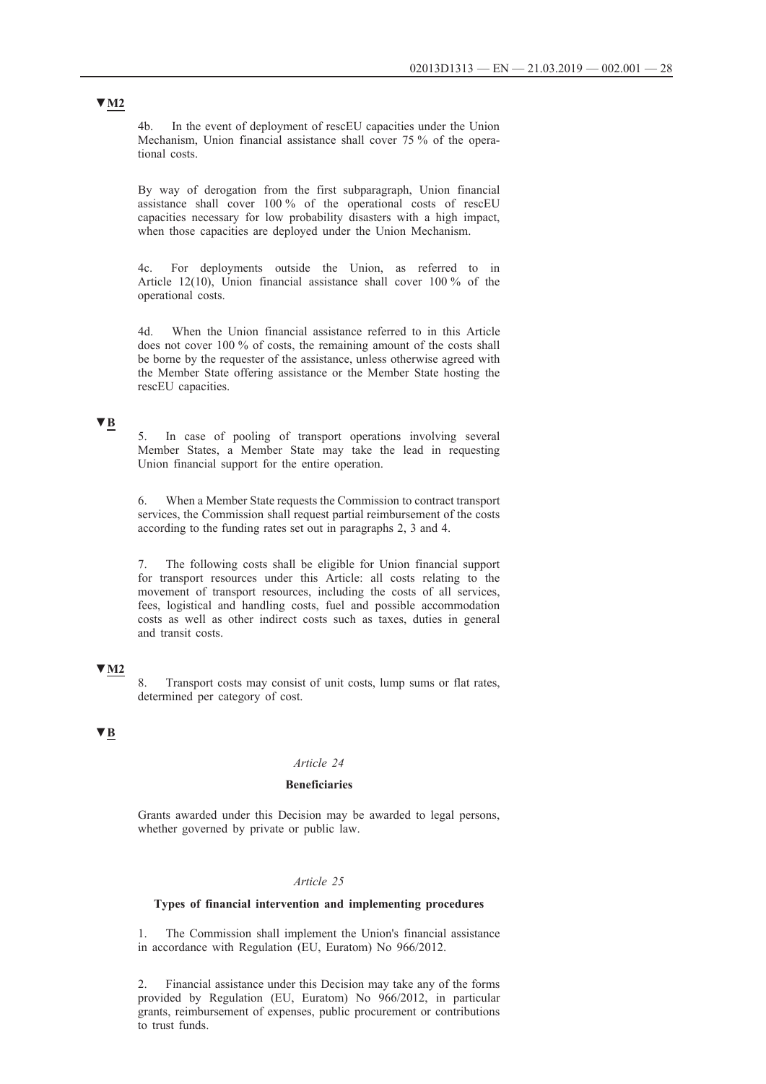4b. In the event of deployment of rescEU capacities under the Union Mechanism, Union financial assistance shall cover 75 % of the operational costs.

By way of derogation from the first subparagraph, Union financial assistance shall cover 100 % of the operational costs of rescEU capacities necessary for low probability disasters with a high impact, when those capacities are deployed under the Union Mechanism.

4c. For deployments outside the Union, as referred to in Article 12(10), Union financial assistance shall cover 100 % of the operational costs.

4d. When the Union financial assistance referred to in this Article does not cover 100 % of costs, the remaining amount of the costs shall be borne by the requester of the assistance, unless otherwise agreed with the Member State offering assistance or the Member State hosting the rescEU capacities.

#### **▼B**

5. In case of pooling of transport operations involving several Member States, a Member State may take the lead in requesting Union financial support for the entire operation.

6. When a Member State requests the Commission to contract transport services, the Commission shall request partial reimbursement of the costs according to the funding rates set out in paragraphs 2, 3 and 4.

7. The following costs shall be eligible for Union financial support for transport resources under this Article: all costs relating to the movement of transport resources, including the costs of all services, fees, logistical and handling costs, fuel and possible accommodation costs as well as other indirect costs such as taxes, duties in general and transit costs.

### **▼M2**

Transport costs may consist of unit costs, lump sums or flat rates, determined per category of cost.

# **▼B**

#### *Article 24*

### **Beneficiaries**

Grants awarded under this Decision may be awarded to legal persons, whether governed by private or public law.

#### *Article 25*

#### **Types of financial intervention and implementing procedures**

1. The Commission shall implement the Union's financial assistance in accordance with Regulation (EU, Euratom) No 966/2012.

2. Financial assistance under this Decision may take any of the forms provided by Regulation (EU, Euratom) No 966/2012, in particular grants, reimbursement of expenses, public procurement or contributions to trust funds.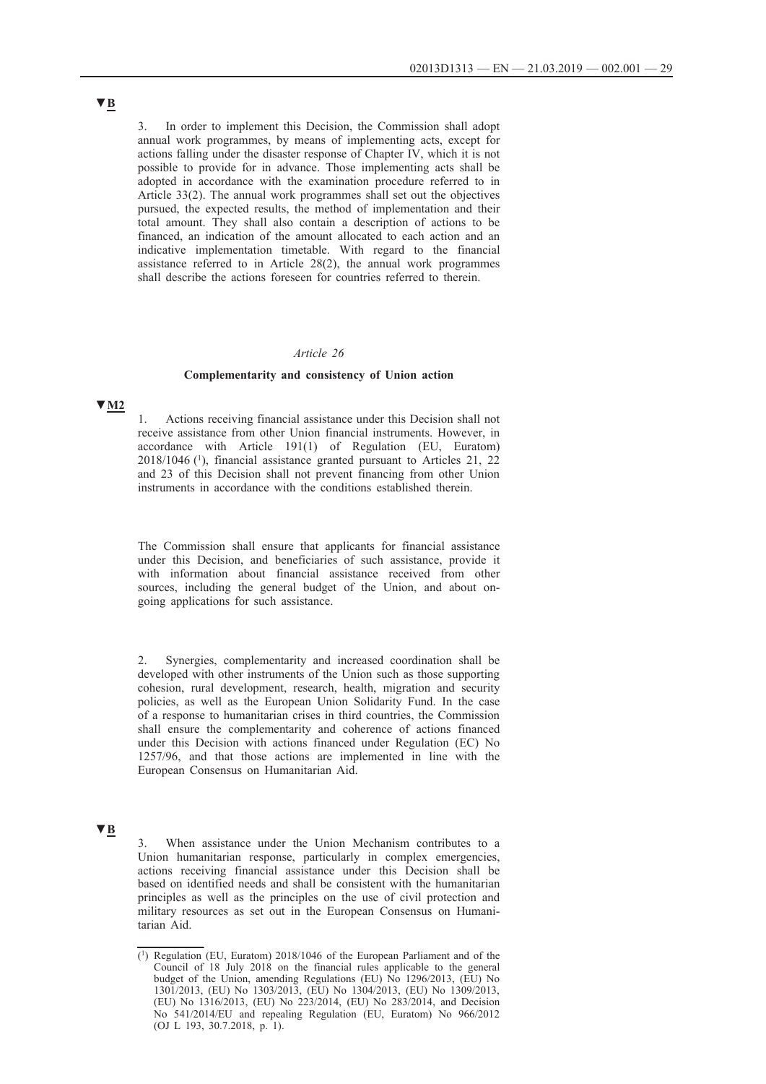3. In order to implement this Decision, the Commission shall adopt annual work programmes, by means of implementing acts, except for actions falling under the disaster response of Chapter IV, which it is not possible to provide for in advance. Those implementing acts shall be adopted in accordance with the examination procedure referred to in Article 33(2). The annual work programmes shall set out the objectives pursued, the expected results, the method of implementation and their total amount. They shall also contain a description of actions to be financed, an indication of the amount allocated to each action and an indicative implementation timetable. With regard to the financial assistance referred to in Article 28(2), the annual work programmes shall describe the actions foreseen for countries referred to therein.

### *Article 26*

#### **Complementarity and consistency of Union action**

### **▼M2**

1. Actions receiving financial assistance under this Decision shall not receive assistance from other Union financial instruments. However, in accordance with Article 191(1) of Regulation (EU, Euratom) 2018/1046 (1), financial assistance granted pursuant to Articles 21, 22 and 23 of this Decision shall not prevent financing from other Union instruments in accordance with the conditions established therein.

The Commission shall ensure that applicants for financial assistance under this Decision, and beneficiaries of such assistance, provide it with information about financial assistance received from other sources, including the general budget of the Union, and about ongoing applications for such assistance.

2. Synergies, complementarity and increased coordination shall be developed with other instruments of the Union such as those supporting cohesion, rural development, research, health, migration and security policies, as well as the European Union Solidarity Fund. In the case of a response to humanitarian crises in third countries, the Commission shall ensure the complementarity and coherence of actions financed under this Decision with actions financed under Regulation (EC) No 1257/96, and that those actions are implemented in line with the European Consensus on Humanitarian Aid.

# **▼B**

3. When assistance under the Union Mechanism contributes to a Union humanitarian response, particularly in complex emergencies, actions receiving financial assistance under this Decision shall be based on identified needs and shall be consistent with the humanitarian principles as well as the principles on the use of civil protection and military resources as set out in the European Consensus on Humanitarian Aid.

<sup>(1)</sup> Regulation (EU, Euratom) 2018/1046 of the European Parliament and of the Council of 18 July 2018 on the financial rules applicable to the general budget of the Union, amending Regulations (EU) No 1296/2013, (EU) No 1301/2013, (EU) No 1303/2013, (EU) No 1304/2013, (EU) No 1309/2013, (EU) No 1316/2013, (EU) No 223/2014, (EU) No 283/2014, and Decision No 541/2014/EU and repealing Regulation (EU, Euratom) No 966/2012 (OJ L 193, 30.7.2018, p. 1).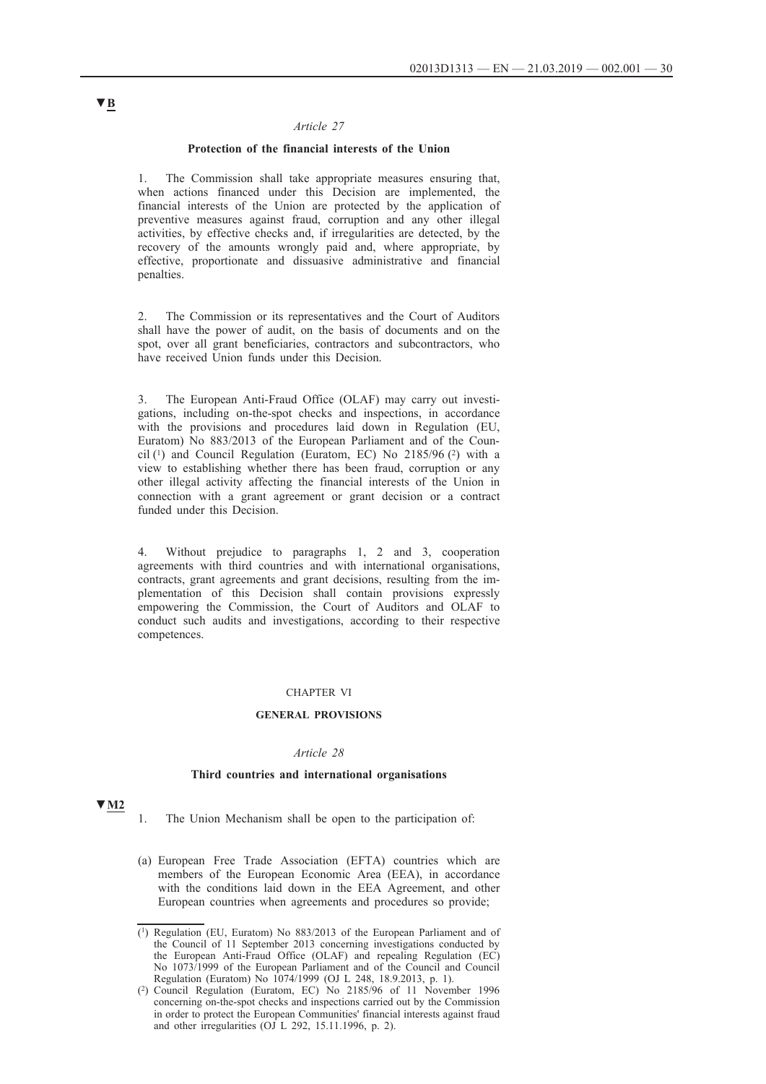### *Article 27*

### **Protection of the financial interests of the Union**

1. The Commission shall take appropriate measures ensuring that, when actions financed under this Decision are implemented, the financial interests of the Union are protected by the application of preventive measures against fraud, corruption and any other illegal activities, by effective checks and, if irregularities are detected, by the recovery of the amounts wrongly paid and, where appropriate, by effective, proportionate and dissuasive administrative and financial penalties.

2. The Commission or its representatives and the Court of Auditors shall have the power of audit, on the basis of documents and on the spot, over all grant beneficiaries, contractors and subcontractors, who have received Union funds under this Decision.

3. The European Anti-Fraud Office (OLAF) may carry out investigations, including on-the-spot checks and inspections, in accordance with the provisions and procedures laid down in Regulation (EU, Euratom) No 883/2013 of the European Parliament and of the Council  $(1)$  and Council Regulation (Euratom, EC) No 2185/96  $(2)$  with a view to establishing whether there has been fraud, corruption or any other illegal activity affecting the financial interests of the Union in connection with a grant agreement or grant decision or a contract funded under this Decision.

4. Without prejudice to paragraphs 1, 2 and 3, cooperation agreements with third countries and with international organisations, contracts, grant agreements and grant decisions, resulting from the implementation of this Decision shall contain provisions expressly empowering the Commission, the Court of Auditors and OLAF to conduct such audits and investigations, according to their respective competences.

#### CHAPTER VI

#### **GENERAL PROVISIONS**

#### *Article 28*

#### **Third countries and international organisations**

### **▼M2**

- 1. The Union Mechanism shall be open to the participation of:
- (a) European Free Trade Association (EFTA) countries which are members of the European Economic Area (EEA), in accordance with the conditions laid down in the EEA Agreement, and other European countries when agreements and procedures so provide;

<sup>(1)</sup> Regulation (EU, Euratom) No 883/2013 of the European Parliament and of the Council of 11 September 2013 concerning investigations conducted by the European Anti-Fraud Office (OLAF) and repealing Regulation (EC) No 1073/1999 of the European Parliament and of the Council and Council Regulation (Euratom) No 1074/1999 (OJ L 248, 18.9.2013, p. 1).

<sup>(2)</sup> Council Regulation (Euratom, EC) No 2185/96 of 11 November 1996 concerning on-the-spot checks and inspections carried out by the Commission in order to protect the European Communities' financial interests against fraud and other irregularities (OJ L 292, 15.11.1996, p. 2).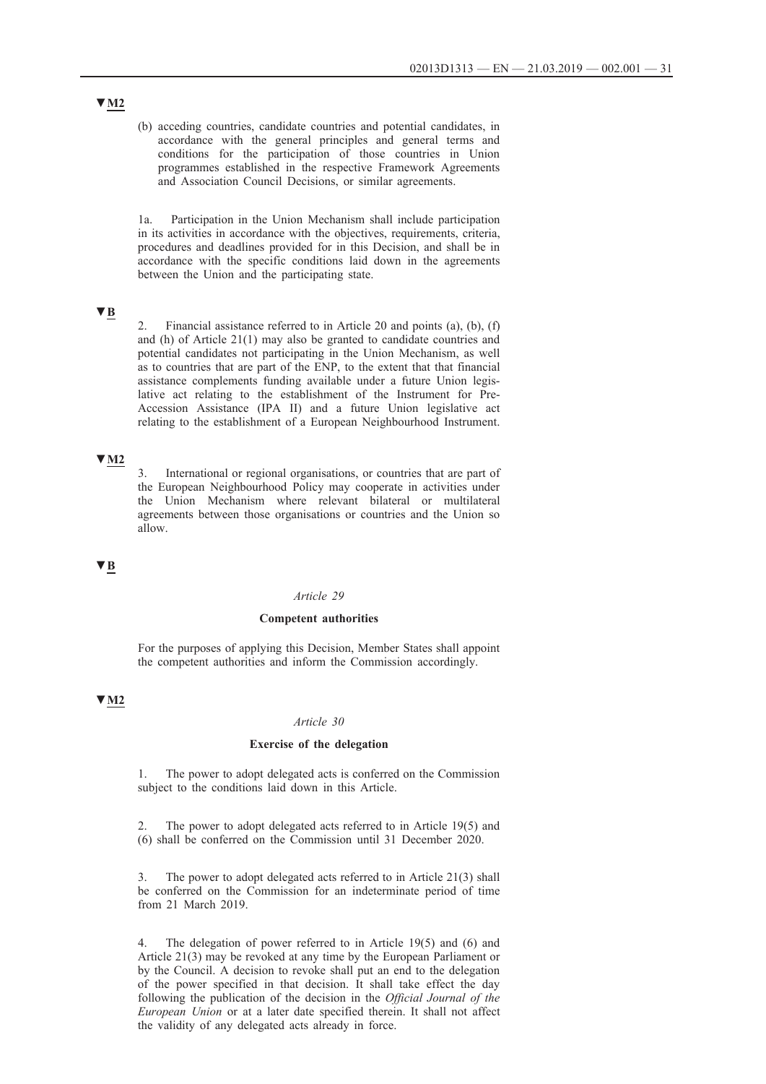(b) acceding countries, candidate countries and potential candidates, in accordance with the general principles and general terms and conditions for the participation of those countries in Union programmes established in the respective Framework Agreements and Association Council Decisions, or similar agreements.

1a. Participation in the Union Mechanism shall include participation in its activities in accordance with the objectives, requirements, criteria, procedures and deadlines provided for in this Decision, and shall be in accordance with the specific conditions laid down in the agreements between the Union and the participating state.

## **▼B**

2. Financial assistance referred to in Article 20 and points (a), (b), (f) and (h) of Article 21(1) may also be granted to candidate countries and potential candidates not participating in the Union Mechanism, as well as to countries that are part of the ENP, to the extent that that financial assistance complements funding available under a future Union legislative act relating to the establishment of the Instrument for Pre-Accession Assistance (IPA II) and a future Union legislative act relating to the establishment of a European Neighbourhood Instrument.

# **▼M2**

3. International or regional organisations, or countries that are part of the European Neighbourhood Policy may cooperate in activities under the Union Mechanism where relevant bilateral or multilateral agreements between those organisations or countries and the Union so allow.

#### **▼B**

#### *Article 29*

#### **Competent authorities**

For the purposes of applying this Decision, Member States shall appoint the competent authorities and inform the Commission accordingly.

### **▼M2**

#### *Article 30*

#### **Exercise of the delegation**

1. The power to adopt delegated acts is conferred on the Commission subject to the conditions laid down in this Article.

2. The power to adopt delegated acts referred to in Article 19(5) and (6) shall be conferred on the Commission until 31 December 2020.

3. The power to adopt delegated acts referred to in Article 21(3) shall be conferred on the Commission for an indeterminate period of time from 21 March 2019.

The delegation of power referred to in Article 19(5) and (6) and Article 21(3) may be revoked at any time by the European Parliament or by the Council. A decision to revoke shall put an end to the delegation of the power specified in that decision. It shall take effect the day following the publication of the decision in the *Official Journal of the European Union* or at a later date specified therein. It shall not affect the validity of any delegated acts already in force.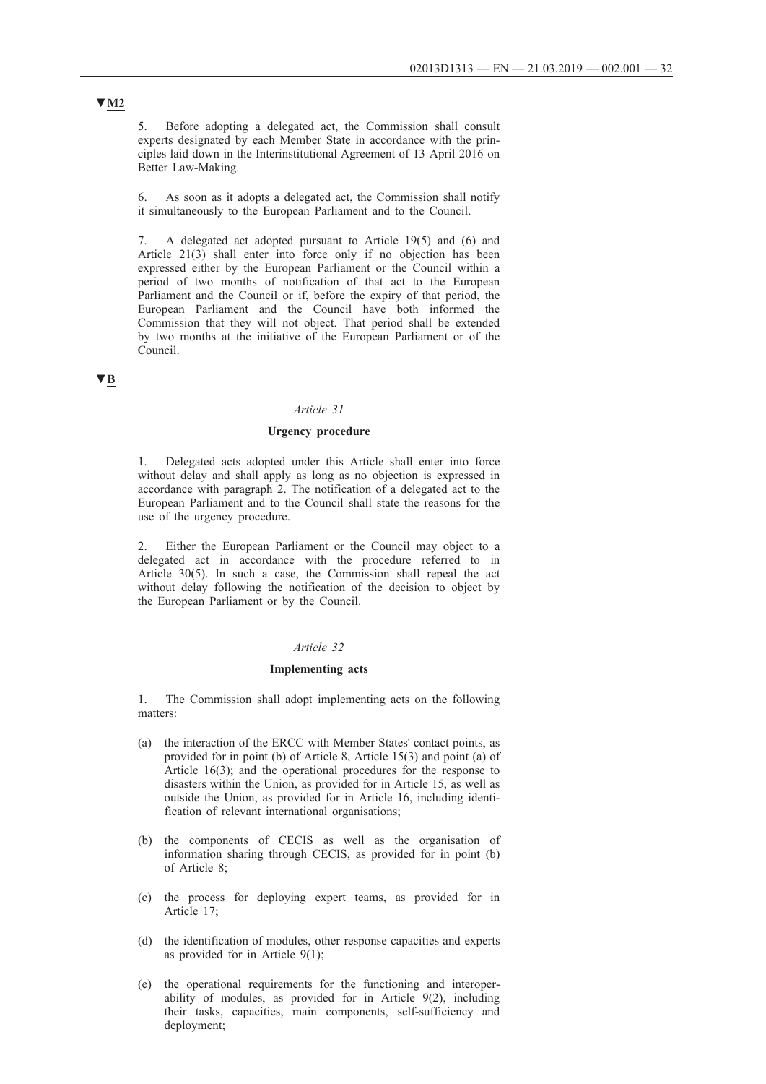5. Before adopting a delegated act, the Commission shall consult experts designated by each Member State in accordance with the principles laid down in the Interinstitutional Agreement of 13 April 2016 on Better Law-Making.

6. As soon as it adopts a delegated act, the Commission shall notify it simultaneously to the European Parliament and to the Council.

7. A delegated act adopted pursuant to Article 19(5) and (6) and Article 21(3) shall enter into force only if no objection has been expressed either by the European Parliament or the Council within a period of two months of notification of that act to the European Parliament and the Council or if, before the expiry of that period, the European Parliament and the Council have both informed the Commission that they will not object. That period shall be extended by two months at the initiative of the European Parliament or of the Council.

### **▼B**

#### *Article 31*

#### **Urgency procedure**

1. Delegated acts adopted under this Article shall enter into force without delay and shall apply as long as no objection is expressed in accordance with paragraph 2. The notification of a delegated act to the European Parliament and to the Council shall state the reasons for the use of the urgency procedure.

2. Either the European Parliament or the Council may object to a delegated act in accordance with the procedure referred to in Article 30(5). In such a case, the Commission shall repeal the act without delay following the notification of the decision to object by the European Parliament or by the Council.

### *Article 32*

#### **Implementing acts**

1. The Commission shall adopt implementing acts on the following matters:

- (a) the interaction of the ERCC with Member States' contact points, as provided for in point (b) of Article 8, Article 15(3) and point (a) of Article 16(3); and the operational procedures for the response to disasters within the Union, as provided for in Article 15, as well as outside the Union, as provided for in Article 16, including identification of relevant international organisations;
- (b) the components of CECIS as well as the organisation of information sharing through CECIS, as provided for in point (b) of Article 8;
- (c) the process for deploying expert teams, as provided for in Article 17;
- (d) the identification of modules, other response capacities and experts as provided for in Article 9(1);
- (e) the operational requirements for the functioning and interoperability of modules, as provided for in Article 9(2), including their tasks, capacities, main components, self-sufficiency and deployment;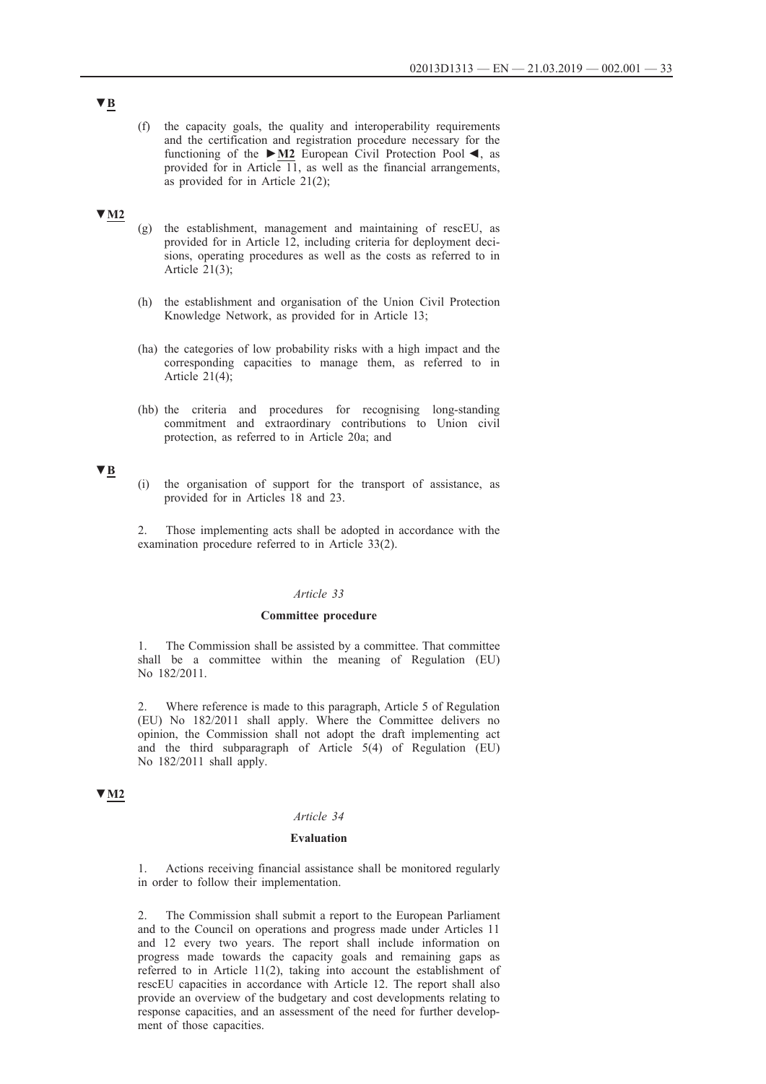(f) the capacity goals, the quality and interoperability requirements and the certification and registration procedure necessary for the functioning of the **►M2** European Civil Protection Pool ◄, as provided for in Article  $\overline{11}$ , as well as the financial arrangements, as provided for in Article 21(2);

#### **▼M2**

- (g) the establishment, management and maintaining of rescEU, as provided for in Article 12, including criteria for deployment decisions, operating procedures as well as the costs as referred to in Article 21(3);
- (h) the establishment and organisation of the Union Civil Protection Knowledge Network, as provided for in Article 13;
- (ha) the categories of low probability risks with a high impact and the corresponding capacities to manage them, as referred to in Article 21(4);
- (hb) the criteria and procedures for recognising long-standing commitment and extraordinary contributions to Union civil protection, as referred to in Article 20a; and

### **▼B**

(i) the organisation of support for the transport of assistance, as provided for in Articles 18 and 23.

2. Those implementing acts shall be adopted in accordance with the examination procedure referred to in Article 33(2).

#### *Article 33*

#### **Committee procedure**

1. The Commission shall be assisted by a committee. That committee shall be a committee within the meaning of Regulation (EU) No 182/2011.

2. Where reference is made to this paragraph, Article 5 of Regulation (EU) No 182/2011 shall apply. Where the Committee delivers no opinion, the Commission shall not adopt the draft implementing act and the third subparagraph of Article 5(4) of Regulation (EU) No 182/2011 shall apply.

### **▼M2**

#### *Article 34*

#### **Evaluation**

1. Actions receiving financial assistance shall be monitored regularly in order to follow their implementation.

2. The Commission shall submit a report to the European Parliament and to the Council on operations and progress made under Articles 11 and 12 every two years. The report shall include information on progress made towards the capacity goals and remaining gaps as referred to in Article 11(2), taking into account the establishment of rescEU capacities in accordance with Article 12. The report shall also provide an overview of the budgetary and cost developments relating to response capacities, and an assessment of the need for further development of those capacities.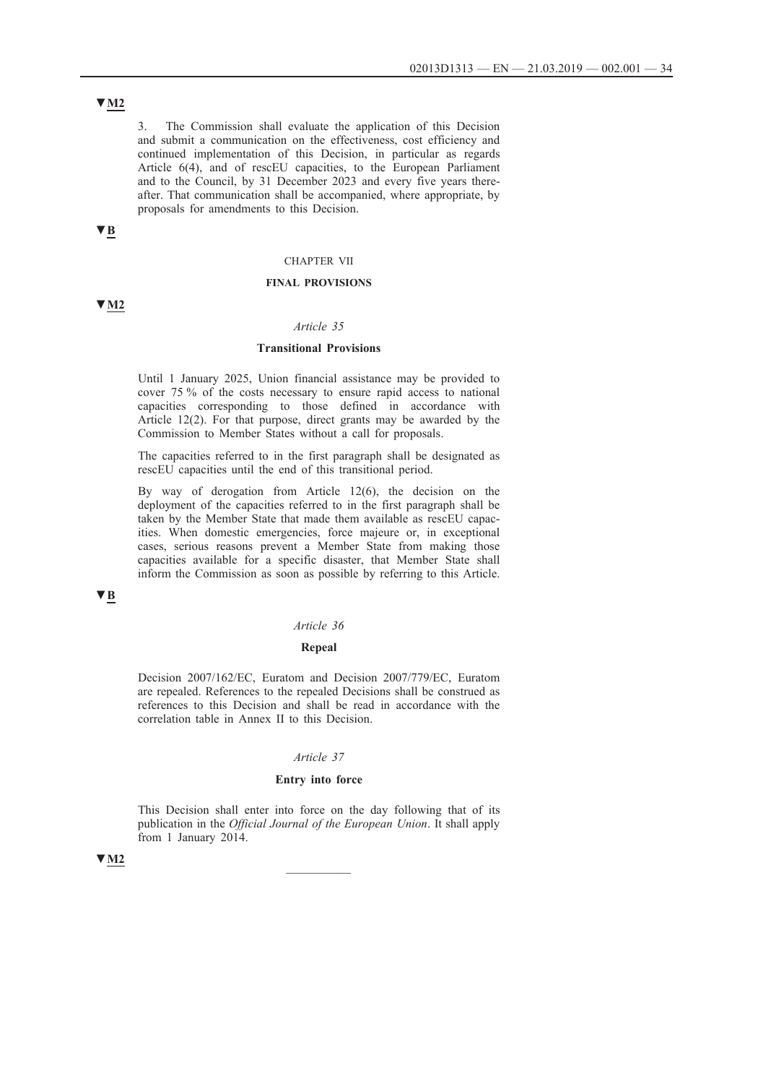# **▼M2**

3. The Commission shall evaluate the application of this Decision and submit a communication on the effectiveness, cost efficiency and continued implementation of this Decision, in particular as regards Article 6(4), and of rescEU capacities, to the European Parliament and to the Council, by 31 December 2023 and every five years thereafter. That communication shall be accompanied, where appropriate, by proposals for amendments to this Decision.

# **▼B**

### CHAPTER VII

### **FINAL PROVISIONS**

### **▼M2**

### *Article 35*

### **Transitional Provisions**

Until 1 January 2025, Union financial assistance may be provided to cover 75 % of the costs necessary to ensure rapid access to national capacities corresponding to those defined in accordance with Article 12(2). For that purpose, direct grants may be awarded by the Commission to Member States without a call for proposals.

The capacities referred to in the first paragraph shall be designated as rescEU capacities until the end of this transitional period.

By way of derogation from Article 12(6), the decision on the deployment of the capacities referred to in the first paragraph shall be taken by the Member State that made them available as rescEU capacities. When domestic emergencies, force majeure or, in exceptional cases, serious reasons prevent a Member State from making those capacities available for a specific disaster, that Member State shall inform the Commission as soon as possible by referring to this Article.

### **▼B**

#### *Article 36*

#### **Repeal**

Decision 2007/162/EC, Euratom and Decision 2007/779/EC, Euratom are repealed. References to the repealed Decisions shall be construed as references to this Decision and shall be read in accordance with the correlation table in Annex II to this Decision.

### *Article 37*

#### **Entry into force**

This Decision shall enter into force on the day following that of its publication in the *Official Journal of the European Union*. It shall apply from 1 January 2014.

# $\sqrt{M2}$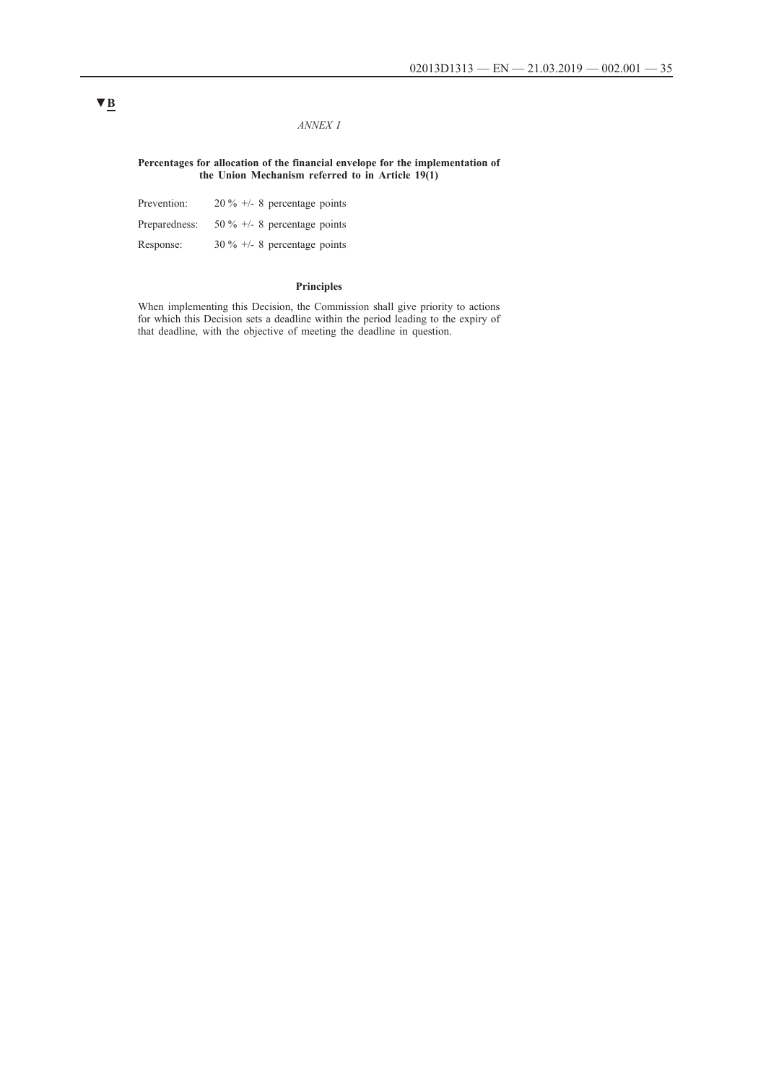### *ANNEX I*

### **Percentages for allocation of the financial envelope for the implementation of the Union Mechanism referred to in Article 19(1)**

| Prevention:   | $20\% +1.8$ percentage points  |
|---------------|--------------------------------|
| Preparedness: | 50 % $+/-$ 8 percentage points |
| Response:     | $30\% +1.8$ percentage points  |

#### **Principles**

When implementing this Decision, the Commission shall give priority to actions for which this Decision sets a deadline within the period leading to the expiry of that deadline, with the objective of meeting the deadline in question.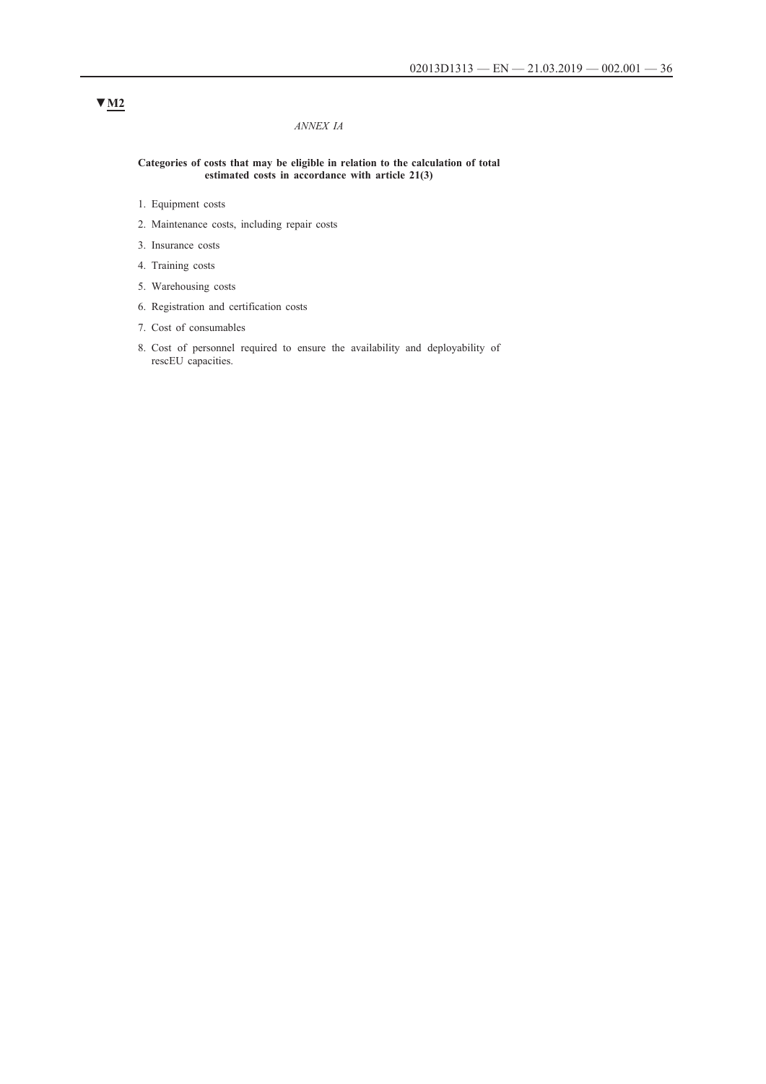### *ANNEX IA*

#### **Categories of costs that may be eligible in relation to the calculation of total estimated costs in accordance with article 21(3)**

- 1. Equipment costs
- 2. Maintenance costs, including repair costs
- 3. Insurance costs
- 4. Training costs
- 5. Warehousing costs
- 6. Registration and certification costs
- 7. Cost of consumables
- 8. Cost of personnel required to ensure the availability and deployability of rescEU capacities.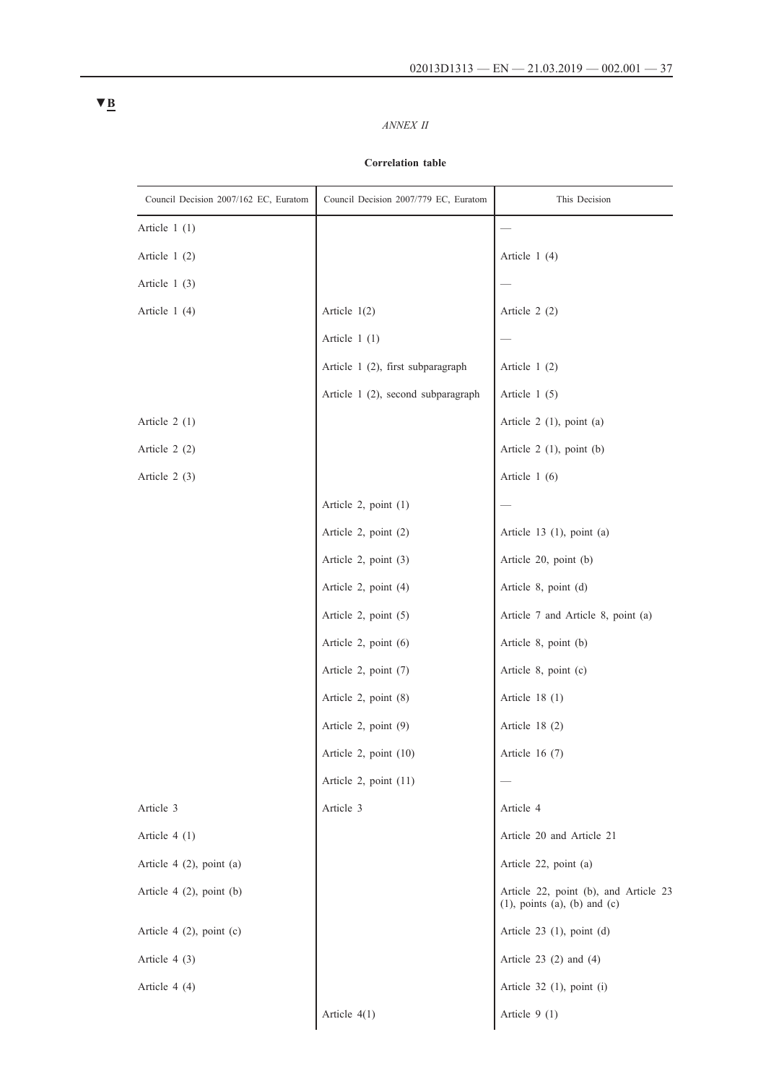# *ANNEX II*

# **Correlation table**

| Council Decision 2007/162 EC, Euratom | Council Decision 2007/779 EC, Euratom | This Decision                                                                   |  |
|---------------------------------------|---------------------------------------|---------------------------------------------------------------------------------|--|
| Article $1(1)$                        |                                       |                                                                                 |  |
| Article 1 (2)                         |                                       | Article $1(4)$                                                                  |  |
| Article $1(3)$                        |                                       |                                                                                 |  |
| Article $1(4)$                        | Article $1(2)$                        | Article $2(2)$                                                                  |  |
|                                       | Article $1(1)$                        |                                                                                 |  |
|                                       | Article 1 (2), first subparagraph     | Article $1(2)$                                                                  |  |
|                                       | Article 1 (2), second subparagraph    | Article $1(5)$                                                                  |  |
| Article $2(1)$                        |                                       | Article $2$ (1), point (a)                                                      |  |
| Article $2(2)$                        |                                       | Article $2$ (1), point (b)                                                      |  |
| Article $2(3)$                        |                                       | Article $1(6)$                                                                  |  |
|                                       | Article 2, point $(1)$                |                                                                                 |  |
|                                       | Article 2, point (2)                  | Article $13$ (1), point (a)                                                     |  |
|                                       | Article 2, point $(3)$                | Article 20, point (b)                                                           |  |
|                                       | Article 2, point (4)                  | Article 8, point (d)                                                            |  |
|                                       | Article 2, point (5)                  | Article 7 and Article 8, point (a)                                              |  |
|                                       | Article 2, point (6)                  | Article 8, point (b)                                                            |  |
|                                       | Article 2, point (7)                  | Article 8, point (c)                                                            |  |
|                                       | Article 2, point (8)                  | Article $18(1)$                                                                 |  |
|                                       | Article 2, point (9)                  | Article $18(2)$                                                                 |  |
|                                       | Article 2, point (10)                 | Article $16(7)$                                                                 |  |
|                                       | Article 2, point $(11)$               |                                                                                 |  |
| Article 3                             | Article 3                             | Article 4                                                                       |  |
| Article $4(1)$                        |                                       | Article 20 and Article 21                                                       |  |
| Article $4$ (2), point (a)            |                                       | Article 22, point (a)                                                           |  |
| Article $4$ (2), point (b)            |                                       | Article 22, point (b), and Article 23<br>$(1)$ , points $(a)$ , $(b)$ and $(c)$ |  |
| Article $4$ (2), point (c)            |                                       | Article $23$ (1), point (d)                                                     |  |
| Article $4(3)$                        |                                       | Article $23$ (2) and (4)                                                        |  |
| Article $4(4)$                        |                                       | Article $32$ (1), point (i)                                                     |  |
|                                       | Article $4(1)$                        | Article $9(1)$                                                                  |  |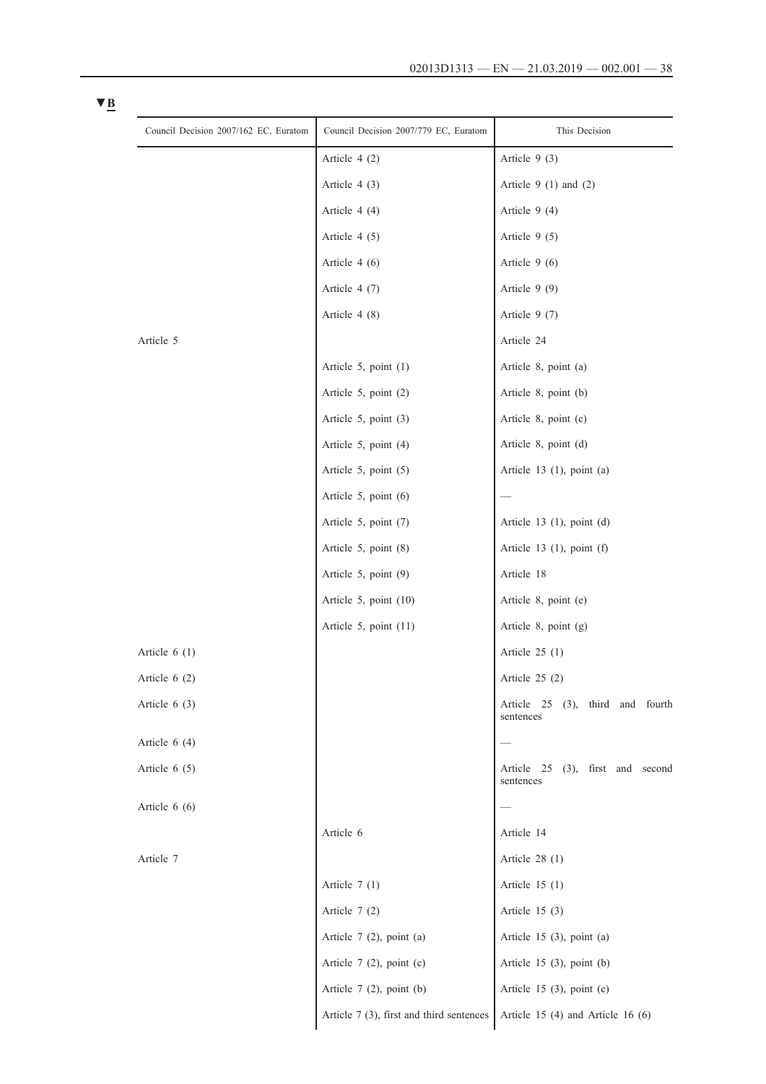| Council Decision 2007/162 EC, Euratom | Council Decision 2007/779 EC, Euratom    | This Decision                                       |  |
|---------------------------------------|------------------------------------------|-----------------------------------------------------|--|
|                                       | Article $4(2)$                           | Article $9(3)$                                      |  |
|                                       | Article $4(3)$                           | Article $9(1)$ and $(2)$                            |  |
|                                       | Article $4(4)$                           | Article $9(4)$                                      |  |
|                                       | Article $4(5)$                           | Article $9(5)$                                      |  |
|                                       | Article $4(6)$                           | Article $9(6)$                                      |  |
|                                       | Article $4(7)$                           | Article $9(9)$                                      |  |
|                                       | Article $4(8)$                           | Article $9(7)$                                      |  |
| Article 5                             |                                          | Article 24                                          |  |
|                                       | Article 5, point (1)                     | Article 8, point (a)                                |  |
|                                       | Article 5, point (2)                     | Article 8, point (b)                                |  |
|                                       | Article 5, point (3)                     | Article 8, point (c)                                |  |
|                                       | Article 5, point (4)                     | Article 8, point (d)                                |  |
|                                       | Article 5, point (5)                     | Article $13$ (1), point (a)                         |  |
|                                       | Article 5, point (6)                     |                                                     |  |
|                                       | Article 5, point (7)                     | Article $13$ (1), point (d)                         |  |
|                                       | Article 5, point (8)                     | Article 13 $(1)$ , point $(f)$                      |  |
|                                       | Article 5, point (9)                     | Article 18                                          |  |
|                                       | Article 5, point $(10)$                  | Article 8, point (e)                                |  |
|                                       | Article 5, point (11)                    | Article 8, point (g)                                |  |
| Article $6(1)$                        |                                          | Article $25(1)$                                     |  |
| Article $6(2)$                        |                                          | Article $25(2)$                                     |  |
| Article $6(3)$                        |                                          | Article 25 (3), third and fourth<br>sentences       |  |
| Article $6(4)$                        |                                          |                                                     |  |
| Article $6(5)$                        |                                          | Article 25<br>$(3)$ , first and second<br>sentences |  |
| Article $6(6)$                        |                                          |                                                     |  |
|                                       | Article 6                                | Article 14                                          |  |
| Article 7                             |                                          | Article $28(1)$                                     |  |
|                                       | Article $7(1)$                           | Article $15(1)$                                     |  |
|                                       | Article $7(2)$                           | Article $15(3)$                                     |  |
|                                       | Article $7(2)$ , point (a)               | Article $15$ (3), point (a)                         |  |
|                                       | Article $7$ (2), point (c)               | Article $15$ (3), point (b)                         |  |
|                                       | Article $7(2)$ , point (b)               | Article 15 $(3)$ , point $(c)$                      |  |
|                                       | Article 7 (3), first and third sentences | Article 15 (4) and Article 16 (6)                   |  |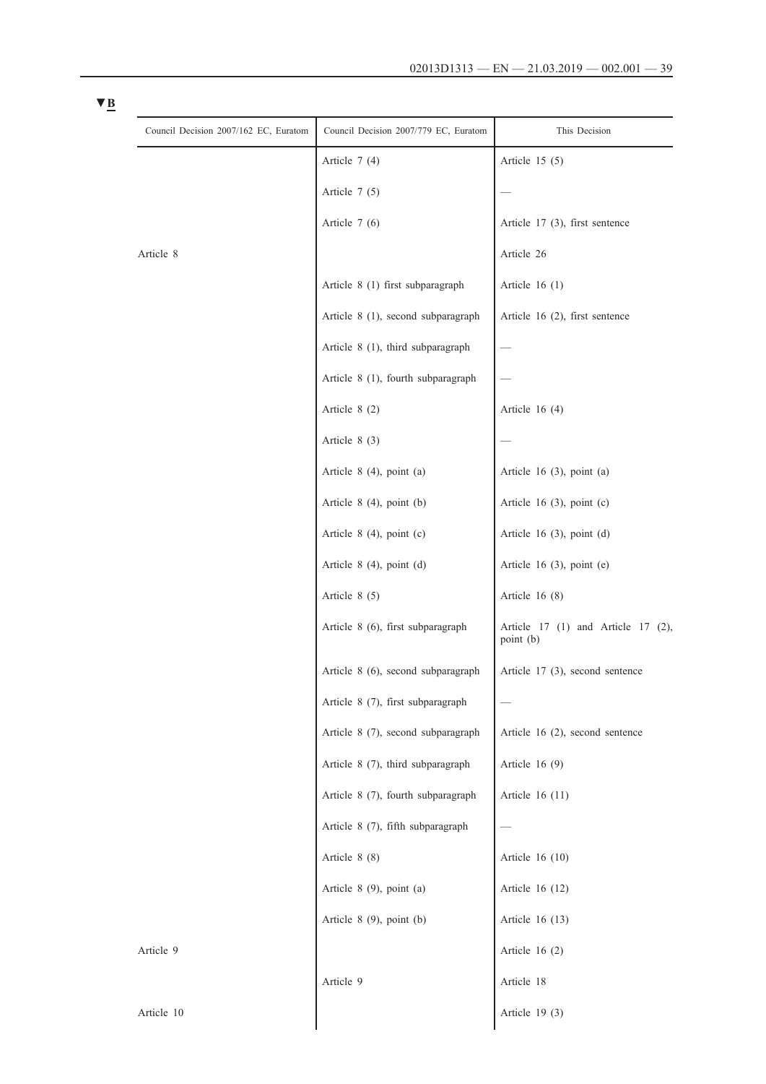| Council Decision 2007/162 EC, Euratom | Council Decision 2007/779 EC, Euratom | This Decision                                   |
|---------------------------------------|---------------------------------------|-------------------------------------------------|
|                                       | Article $7(4)$                        | Article $15(5)$                                 |
|                                       | Article $7(5)$                        |                                                 |
|                                       | Article $7(6)$                        | Article $17$ (3), first sentence                |
| Article 8                             |                                       | Article 26                                      |
|                                       | Article 8 (1) first subparagraph      | Article $16(1)$                                 |
|                                       | Article 8 (1), second subparagraph    | Article 16 (2), first sentence                  |
|                                       | Article 8 (1), third subparagraph     |                                                 |
|                                       | Article 8 (1), fourth subparagraph    |                                                 |
|                                       | Article 8 (2)                         | Article $16(4)$                                 |
|                                       | Article $8(3)$                        |                                                 |
|                                       | Article $8(4)$ , point $(a)$          | Article 16 $(3)$ , point $(a)$                  |
|                                       | Article $8(4)$ , point (b)            | Article 16 $(3)$ , point $(c)$                  |
|                                       | Article $8(4)$ , point (c)            | Article 16 $(3)$ , point $(d)$                  |
|                                       | Article $8(4)$ , point $(d)$          | Article 16 $(3)$ , point $(e)$                  |
|                                       | Article $8(5)$                        | Article $16(8)$                                 |
|                                       | Article 8 (6), first subparagraph     | Article 17 (1) and Article 17 (2),<br>point (b) |
|                                       | Article 8 (6), second subparagraph    | Article 17 (3), second sentence                 |
|                                       | Article 8 (7), first subparagraph     |                                                 |
|                                       | Article 8 (7), second subparagraph    | Article 16 (2), second sentence                 |
|                                       | Article 8 (7), third subparagraph     | Article $16(9)$                                 |
|                                       | Article 8 (7), fourth subparagraph    | Article 16 (11)                                 |
|                                       | Article 8 (7), fifth subparagraph     |                                                 |
|                                       | Article 8 (8)                         | Article 16 (10)                                 |
|                                       | Article $8$ (9), point (a)            | Article 16 (12)                                 |
|                                       | Article $8$ (9), point (b)            | Article 16 (13)                                 |
| Article 9                             |                                       | Article $16(2)$                                 |
|                                       | Article 9                             | Article 18                                      |
| Article 10                            |                                       | Article $19(3)$                                 |